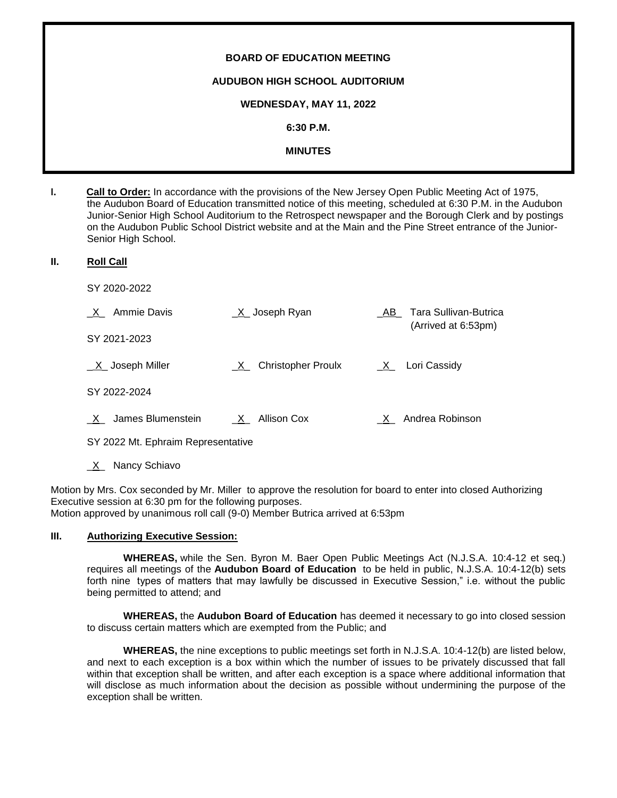# **BOARD OF EDUCATION MEETING AUDUBON HIGH SCHOOL AUDITORIUM WEDNESDAY, MAY 11, 2022 6:30 P.M. MINUTES**

**I. Call to Order:** In accordance with the provisions of the New Jersey Open Public Meeting Act of 1975, the Audubon Board of Education transmitted notice of this meeting, scheduled at 6:30 P.M. in the Audubon Junior-Senior High School Auditorium to the Retrospect newspaper and the Borough Clerk and by postings on the Audubon Public School District website and at the Main and the Pine Street entrance of the Junior-Senior High School.

#### **II. Roll Call**

SY 2020-2022

| $X_$ Ammie Davis       | $X$ Joseph Ryan                           | Tara Sullivan-Butrica<br>AB<br>(Arrived at 6:53pm) |
|------------------------|-------------------------------------------|----------------------------------------------------|
| SY 2021-2023           |                                           |                                                    |
| $X$ Joseph Miller      | <b>Christopher Proulx</b><br>$\mathsf{X}$ | $X_$ Lori Cassidy                                  |
| SY 2022-2024           |                                           |                                                    |
| James Blumenstein<br>X | X Allison Cox                             | Andrea Robinson<br>X.                              |

SY 2022 Mt. Ephraim Representative

\_X\_ Nancy Schiavo

Motion by Mrs. Cox seconded by Mr. Miller to approve the resolution for board to enter into closed Authorizing Executive session at 6:30 pm for the following purposes. Motion approved by unanimous roll call (9-0) Member Butrica arrived at 6:53pm

# **III. Authorizing Executive Session:**

**WHEREAS,** while the Sen. Byron M. Baer Open Public Meetings Act (N.J.S.A. 10:4-12 et seq.) requires all meetings of the **Audubon Board of Education** to be held in public, N.J.S.A. 10:4-12(b) sets forth nine types of matters that may lawfully be discussed in Executive Session," i.e. without the public being permitted to attend; and

**WHEREAS,** the **Audubon Board of Education** has deemed it necessary to go into closed session to discuss certain matters which are exempted from the Public; and

**WHEREAS,** the nine exceptions to public meetings set forth in N.J.S.A. 10:4-12(b) are listed below, and next to each exception is a box within which the number of issues to be privately discussed that fall within that exception shall be written, and after each exception is a space where additional information that will disclose as much information about the decision as possible without undermining the purpose of the exception shall be written.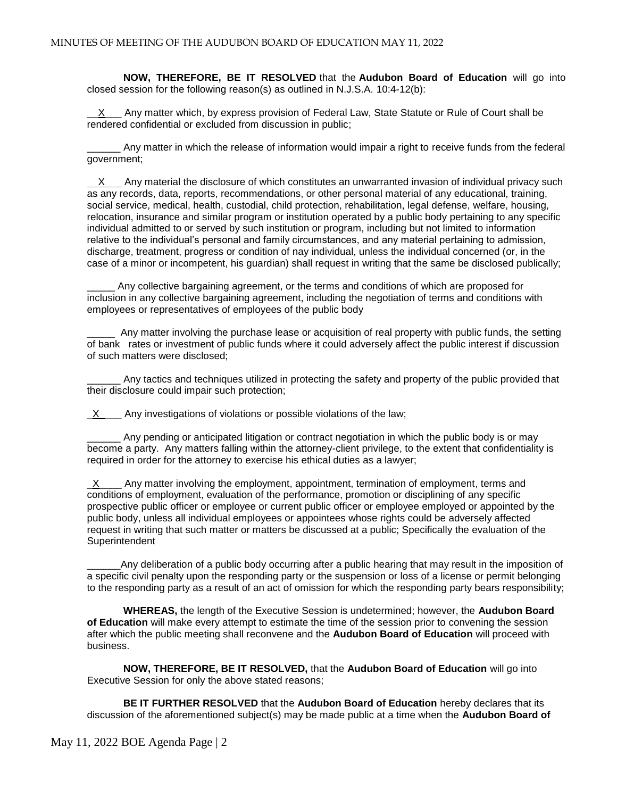**NOW, THEREFORE, BE IT RESOLVED** that the **Audubon Board of Education** will go into closed session for the following reason(s) as outlined in N.J.S.A. 10:4-12(b):

 $X$  Any matter which, by express provision of Federal Law, State Statute or Rule of Court shall be rendered confidential or excluded from discussion in public;

\_\_\_\_\_\_ Any matter in which the release of information would impair a right to receive funds from the federal government;

X Any material the disclosure of which constitutes an unwarranted invasion of individual privacy such as any records, data, reports, recommendations, or other personal material of any educational, training, social service, medical, health, custodial, child protection, rehabilitation, legal defense, welfare, housing, relocation, insurance and similar program or institution operated by a public body pertaining to any specific individual admitted to or served by such institution or program, including but not limited to information relative to the individual's personal and family circumstances, and any material pertaining to admission, discharge, treatment, progress or condition of nay individual, unless the individual concerned (or, in the case of a minor or incompetent, his guardian) shall request in writing that the same be disclosed publically;

Any collective bargaining agreement, or the terms and conditions of which are proposed for inclusion in any collective bargaining agreement, including the negotiation of terms and conditions with employees or representatives of employees of the public body

Any matter involving the purchase lease or acquisition of real property with public funds, the setting of bank rates or investment of public funds where it could adversely affect the public interest if discussion of such matters were disclosed;

Any tactics and techniques utilized in protecting the safety and property of the public provided that their disclosure could impair such protection;

 $X$  Any investigations of violations or possible violations of the law;

Any pending or anticipated litigation or contract negotiation in which the public body is or may become a party. Any matters falling within the attorney-client privilege, to the extent that confidentiality is required in order for the attorney to exercise his ethical duties as a lawyer;

 $X$  Any matter involving the employment, appointment, termination of employment, terms and conditions of employment, evaluation of the performance, promotion or disciplining of any specific prospective public officer or employee or current public officer or employee employed or appointed by the public body, unless all individual employees or appointees whose rights could be adversely affected request in writing that such matter or matters be discussed at a public; Specifically the evaluation of the **Superintendent** 

\_\_\_\_\_\_Any deliberation of a public body occurring after a public hearing that may result in the imposition of a specific civil penalty upon the responding party or the suspension or loss of a license or permit belonging to the responding party as a result of an act of omission for which the responding party bears responsibility;

**WHEREAS,** the length of the Executive Session is undetermined; however, the **Audubon Board of Education** will make every attempt to estimate the time of the session prior to convening the session after which the public meeting shall reconvene and the **Audubon Board of Education** will proceed with business.

**NOW, THEREFORE, BE IT RESOLVED,** that the **Audubon Board of Education** will go into Executive Session for only the above stated reasons;

**BE IT FURTHER RESOLVED** that the **Audubon Board of Education** hereby declares that its discussion of the aforementioned subject(s) may be made public at a time when the **Audubon Board of**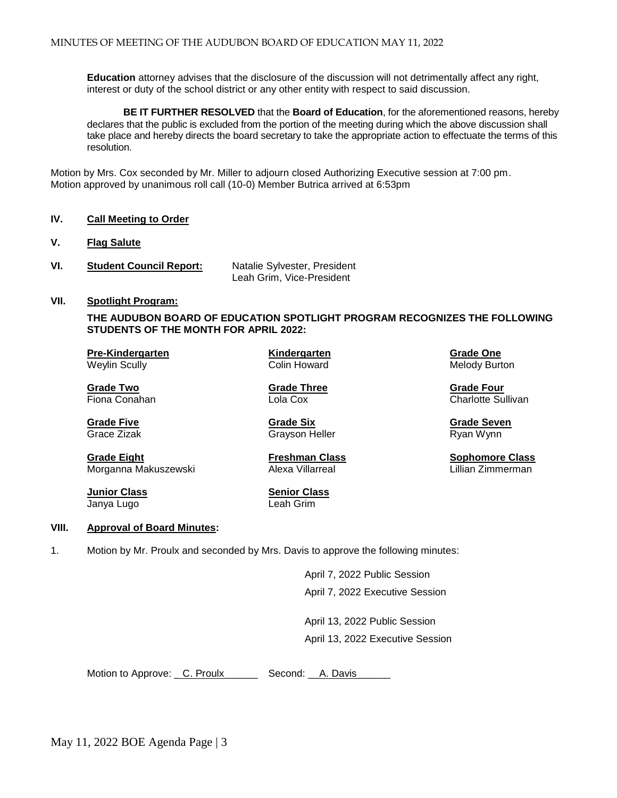**Education** attorney advises that the disclosure of the discussion will not detrimentally affect any right, interest or duty of the school district or any other entity with respect to said discussion.

**BE IT FURTHER RESOLVED** that the **Board of Education**, for the aforementioned reasons, hereby declares that the public is excluded from the portion of the meeting during which the above discussion shall take place and hereby directs the board secretary to take the appropriate action to effectuate the terms of this resolution.

Motion by Mrs. Cox seconded by Mr. Miller to adjourn closed Authorizing Executive session at 7:00 pm. Motion approved by unanimous roll call (10-0) Member Butrica arrived at 6:53pm

#### **IV. Call Meeting to Order**

- **V. Flag Salute**
- **VI. Student Council Report:** Natalie Sylvester, President Leah Grim, Vice-President

#### **VII. Spotlight Program:**

**THE AUDUBON BOARD OF EDUCATION SPOTLIGHT PROGRAM RECOGNIZES THE FOLLOWING STUDENTS OF THE MONTH FOR APRIL 2022:**

**Pre-Kindergarten Kindergarten Grade One** Weylin Scully **Melody Burton** Colin Howard Melody Burton Melody Burton

**Grade Two Grade Three Crade Three Grade Three Grade Four**<br> **Grade Two Grade Three** Charlotte Superinte Superinte Superinte Superinte Superinte Superinte Superinte Superinte

**Grade Five Grade Six Grade Seven** Grace Zizak Grayson Heller Grayson Heller Ryan Wynn

**Example 20 Charlotte Sullivan** 

**Grade Eight Freshman Class Sophomore Class** Morganna Makuszewski *Alexa Villarreal* Morganna Lillian Zimmerman

Janya Lugo Leah Grim

**Junior Class Senior Class** 

#### **VIII. Approval of Board Minutes:**

1. Motion by Mr. Proulx and seconded by Mrs. Davis to approve the following minutes:

April 7, 2022 Public Session April 7, 2022 Executive Session

April 13, 2022 Public Session April 13, 2022 Executive Session

Motion to Approve: C. Proulx\_\_\_\_\_\_\_\_ Second: A. Davis\_

May 11, 2022 BOE Agenda Page | 3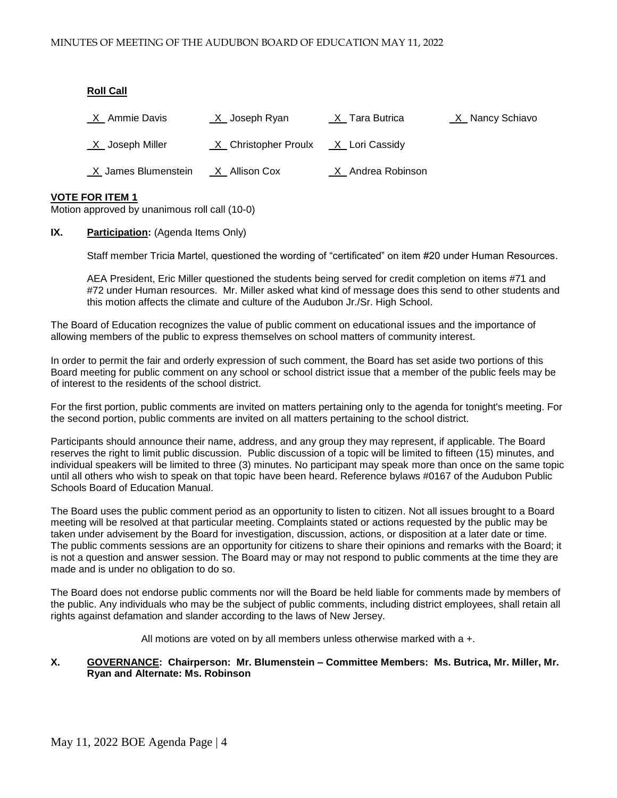#### **Roll Call**

| X Ammie Davis       | <u>X</u> _Joseph Ryan  | $X$ <sub>_</sub> Tara Butrica | _X_ Nancy Schiavo |
|---------------------|------------------------|-------------------------------|-------------------|
| X Joseph Miller     | _X_ Christopher Proulx | _X_ Lori Cassidy              |                   |
| X James Blumenstein | $X$ Allison Cox        | X Andrea Robinson             |                   |

#### **VOTE FOR ITEM 1**

Motion approved by unanimous roll call (10-0)

#### **IX. Participation:** (Agenda Items Only)

Staff member Tricia Martel, questioned the wording of "certificated" on item #20 under Human Resources.

AEA President, Eric Miller questioned the students being served for credit completion on items #71 and #72 under Human resources. Mr. Miller asked what kind of message does this send to other students and this motion affects the climate and culture of the Audubon Jr./Sr. High School.

The Board of Education recognizes the value of public comment on educational issues and the importance of allowing members of the public to express themselves on school matters of community interest.

In order to permit the fair and orderly expression of such comment, the Board has set aside two portions of this Board meeting for public comment on any school or school district issue that a member of the public feels may be of interest to the residents of the school district.

For the first portion, public comments are invited on matters pertaining only to the agenda for tonight's meeting. For the second portion, public comments are invited on all matters pertaining to the school district.

Participants should announce their name, address, and any group they may represent, if applicable. The Board reserves the right to limit public discussion. Public discussion of a topic will be limited to fifteen (15) minutes, and individual speakers will be limited to three (3) minutes. No participant may speak more than once on the same topic until all others who wish to speak on that topic have been heard. Reference bylaws #0167 of the Audubon Public Schools Board of Education Manual.

The Board uses the public comment period as an opportunity to listen to citizen. Not all issues brought to a Board meeting will be resolved at that particular meeting. Complaints stated or actions requested by the public may be taken under advisement by the Board for investigation, discussion, actions, or disposition at a later date or time. The public comments sessions are an opportunity for citizens to share their opinions and remarks with the Board; it is not a question and answer session. The Board may or may not respond to public comments at the time they are made and is under no obligation to do so.

The Board does not endorse public comments nor will the Board be held liable for comments made by members of the public. Any individuals who may be the subject of public comments, including district employees, shall retain all rights against defamation and slander according to the laws of New Jersey.

All motions are voted on by all members unless otherwise marked with a +.

#### **X. GOVERNANCE: Chairperson: Mr. Blumenstein – Committee Members: Ms. Butrica, Mr. Miller, Mr. Ryan and Alternate: Ms. Robinson**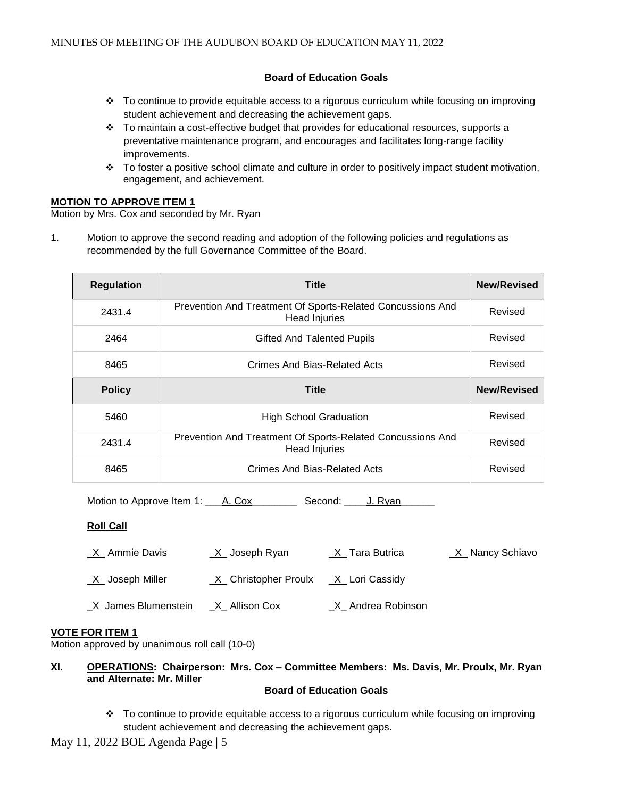# **Board of Education Goals**

- To continue to provide equitable access to a rigorous curriculum while focusing on improving student achievement and decreasing the achievement gaps.
- $\cdot \cdot$  To maintain a cost-effective budget that provides for educational resources, supports a preventative maintenance program, and encourages and facilitates long-range facility improvements.
- To foster a positive school climate and culture in order to positively impact student motivation, engagement, and achievement.

#### **MOTION TO APPROVE ITEM 1**

Motion by Mrs. Cox and seconded by Mr. Ryan

1. Motion to approve the second reading and adoption of the following policies and regulations as recommended by the full Governance Committee of the Board.

| <b>Regulation</b> | <b>Title</b>                                                                       | <b>New/Revised</b> |
|-------------------|------------------------------------------------------------------------------------|--------------------|
| 2431.4            | Prevention And Treatment Of Sports-Related Concussions And<br><b>Head Injuries</b> | Revised            |
| 2464              | <b>Gifted And Talented Pupils</b>                                                  | Revised            |
| 8465              | Crimes And Bias-Related Acts                                                       | Revised            |
| <b>Policy</b>     | Title                                                                              | <b>New/Revised</b> |
| 5460              | <b>High School Graduation</b>                                                      | Revised            |
| 2431.4            | Prevention And Treatment Of Sports-Related Concussions And<br><b>Head Injuries</b> | Revised            |
| 8465              | Crimes And Bias-Related Acts                                                       | Revised            |

Motion to Approve Item 1: A. Cox Second: J. Ryan

# **Roll Call**

| _X_ Ammie Davis     | _X_ Joseph Ryan        | _X_ Tara Butrica  | _X_ Nancy Schiavo |
|---------------------|------------------------|-------------------|-------------------|
| X Joseph Miller     | X Christopher Proulx   | X Lori Cassidy    |                   |
| X James Blumenstein | <u>_X_</u> Allison Cox | X Andrea Robinson |                   |

# **VOTE FOR ITEM 1**

Motion approved by unanimous roll call (10-0)

**XI. OPERATIONS: Chairperson: Mrs. Cox – Committee Members: Ms. Davis, Mr. Proulx, Mr. Ryan and Alternate: Mr. Miller**

# **Board of Education Goals**

 To continue to provide equitable access to a rigorous curriculum while focusing on improving student achievement and decreasing the achievement gaps.

May 11, 2022 BOE Agenda Page | 5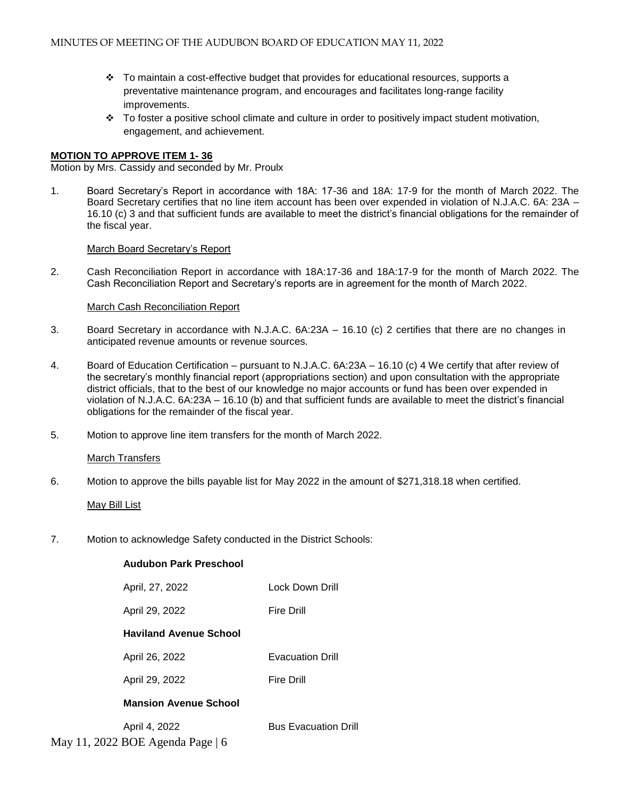- To maintain a cost-effective budget that provides for educational resources, supports a preventative maintenance program, and encourages and facilitates long-range facility improvements.
- $\div$  To foster a positive school climate and culture in order to positively impact student motivation, engagement, and achievement.

#### **MOTION TO APPROVE ITEM 1- 36**

Motion by Mrs. Cassidy and seconded by Mr. Proulx

1. Board Secretary's Report in accordance with 18A: 17-36 and 18A: 17-9 for the month of March 2022. The Board Secretary certifies that no line item account has been over expended in violation of N.J.A.C. 6A: 23A – 16.10 (c) 3 and that sufficient funds are available to meet the district's financial obligations for the remainder of the fiscal year.

#### [March Board Secretary's Report](https://docs.google.com/a/audubonschools.org/viewer?a=v&pid=sites&srcid=YXVkdWJvbnNjaG9vbHMub3JnfGJvYXJkLWFnZW5kYXxneDpkOTY2NTQ0YjNhYWUzY2M)

2. Cash Reconciliation Report in accordance with 18A:17-36 and 18A:17-9 for the month of March 2022. The Cash Reconciliation Report and Secretary's reports are in agreement for the month of March 2022.

#### [March Cash Reconciliation Report](https://docs.google.com/a/audubonschools.org/viewer?a=v&pid=sites&srcid=YXVkdWJvbnNjaG9vbHMub3JnfGJvYXJkLWFnZW5kYXxneDo2ZjQwZTNlZTY2ZjIyOTdl)

- 3.Board Secretary in accordance with N.J.A.C. 6A:23A 16.10 (c) 2 certifies that there are no changes in anticipated revenue amounts or revenue sources.
- 4. Board of Education Certification pursuant to N.J.A.C. 6A:23A 16.10 (c) 4 We certify that after review of the secretary's monthly financial report (appropriations section) and upon consultation with the appropriate district officials, that to the best of our knowledge no major accounts or fund has been over expended in violation of N.J.A.C. 6A:23A – 16.10 (b) and that sufficient funds are available to meet the district's financial obligations for the remainder of the fiscal year.
- 5. Motion to approve line item transfers for the month of March 2022.

#### **[March Transfers](https://docs.google.com/a/audubonschools.org/viewer?a=v&pid=sites&srcid=YXVkdWJvbnNjaG9vbHMub3JnfGJvYXJkLWFnZW5kYXxneDo2ZmRjODVmZTgzZDU5ZTRm)**

6. Motion to approve the bills payable list for May 2022 in the amount of \$271,318.18 when certified.

#### [May Bill List](https://docs.google.com/a/audubonschools.org/viewer?a=v&pid=sites&srcid=YXVkdWJvbnNjaG9vbHMub3JnfGJvYXJkLWFnZW5kYXxneDo3ODViNTg2MzdiYzM0YTdj)

7. Motion to acknowledge Safety conducted in the District Schools:

 **Audubon Park Preschool**

# April, 27, 2022 Lock Down Drill April 29, 2022 Fire Drill **Haviland Avenue School**  April 26, 2022 Evacuation Drill April 29, 2022 Fire Drill **Mansion Avenue School** April 4, 2022 **Bus Evacuation Drill**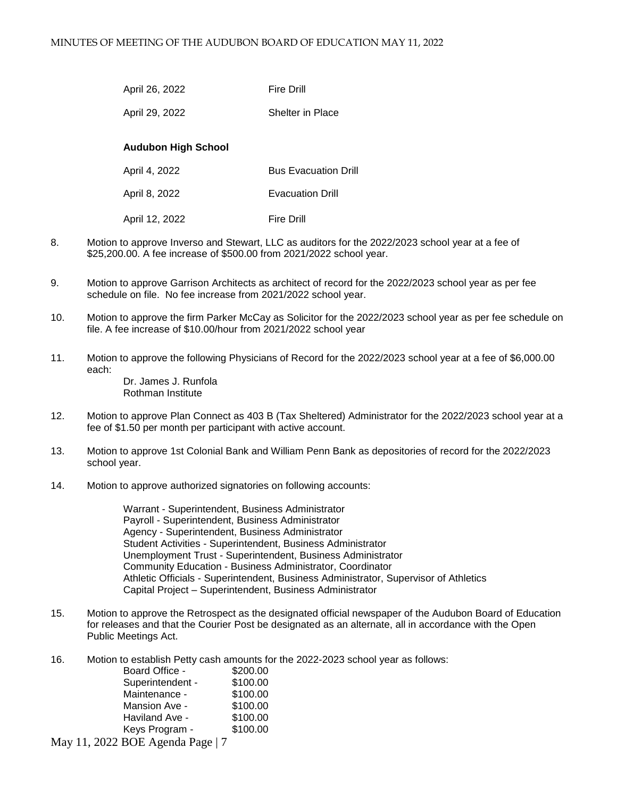| April 26, 2022 | <b>Fire Drill</b>       |
|----------------|-------------------------|
| April 29, 2022 | <b>Shelter in Place</b> |

#### **Audubon High School**

| April 4, 2022  | <b>Bus Evacuation Drill</b> |
|----------------|-----------------------------|
| April 8, 2022  | <b>Evacuation Drill</b>     |
| April 12, 2022 | <b>Fire Drill</b>           |

- 8. Motion to approve Inverso and Stewart, LLC as auditors for the 2022/2023 school year at a fee of \$25,200.00. A fee increase of \$500.00 from 2021/2022 school year.
- 9. Motion to approve Garrison Architects as architect of record for the 2022/2023 school year as per fee schedule on file. No fee increase from 2021/2022 school year.
- 10. Motion to approve the firm Parker McCay as Solicitor for the 2022/2023 school year as per fee schedule on file. A fee increase of \$10.00/hour from 2021/2022 school year
- 11. Motion to approve the following Physicians of Record for the 2022/2023 school year at a fee of \$6,000.00 each: Dr. James J. Runfola

Rothman Institute

- 12. Motion to approve Plan Connect as 403 B (Tax Sheltered) Administrator for the 2022/2023 school year at a fee of \$1.50 per month per participant with active account.
- 13. Motion to approve 1st Colonial Bank and William Penn Bank as depositories of record for the 2022/2023 school year.
- 14. Motion to approve authorized signatories on following accounts:

Warrant - Superintendent, Business Administrator Payroll - Superintendent, Business Administrator Agency - Superintendent, Business Administrator Student Activities - Superintendent, Business Administrator Unemployment Trust - Superintendent, Business Administrator Community Education - Business Administrator, Coordinator Athletic Officials - Superintendent, Business Administrator, Supervisor of Athletics Capital Project – Superintendent, Business Administrator

- 15. Motion to approve the Retrospect as the designated official newspaper of the Audubon Board of Education for releases and that the Courier Post be designated as an alternate, all in accordance with the Open Public Meetings Act.
- 16. Motion to establish Petty cash amounts for the 2022-2023 school year as follows:

| Board Office -   | \$200.00 |
|------------------|----------|
| Superintendent - | \$100.00 |
| Maintenance -    | \$100.00 |
| Mansion Ave -    | \$100.00 |
| Haviland Ave -   | \$100.00 |
| Keys Program -   | \$100.00 |
|                  |          |

May 11, 2022 BOE Agenda Page | 7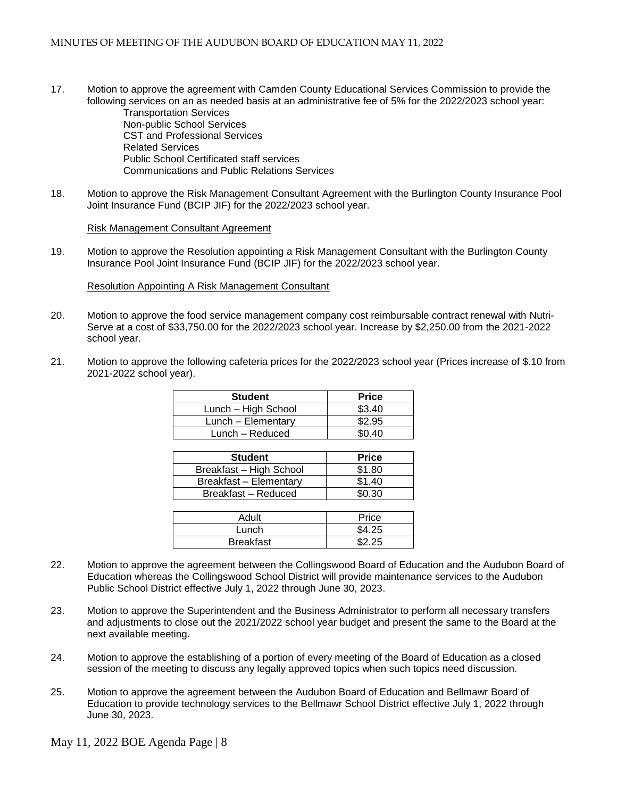17. Motion to approve the agreement with Camden County Educational Services Commission to provide the following services on an as needed basis at an administrative fee of 5% for the 2022/2023 school year:

Transportation Services Non-public School Services CST and Professional Services Related Services Public School Certificated staff services Communications and Public Relations Services

18. Motion to approve the Risk Management Consultant Agreement with the Burlington County Insurance Pool Joint Insurance Fund (BCIP JIF) for the 2022/2023 school year.

[Risk Management Consultant Agreement](https://docs.google.com/a/audubonschools.org/viewer?a=v&pid=sites&srcid=YXVkdWJvbnNjaG9vbHMub3JnfGJvYXJkLWFnZW5kYXxneDozNGM5OGUxYjFiYzIxNmU2)

19. Motion to approve the Resolution appointing a Risk Management Consultant with the Burlington County Insurance Pool Joint Insurance Fund (BCIP JIF) for the 2022/2023 school year.

[Resolution Appointing A Risk Management Consultant](https://docs.google.com/a/audubonschools.org/viewer?a=v&pid=sites&srcid=YXVkdWJvbnNjaG9vbHMub3JnfGJvYXJkLWFnZW5kYXxneDo0OTBjZWYxY2Y2OTdiYWRk)

- 20. Motion to approve the food service management company cost reimbursable contract renewal with Nutri-Serve at a cost of \$33,750.00 for the 2022/2023 school year. Increase by \$2,250.00 from the 2021-2022 school year.
- 21. Motion to approve the following cafeteria prices for the 2022/2023 school year (Prices increase of \$.10 from 2021-2022 school year).

| <b>Student</b>      | <b>Price</b> |
|---------------------|--------------|
| Lunch - High School | \$3.40       |
| Lunch - Elementary  | \$2.95       |
| Lunch - Reduced     | \$0.40       |

| <b>Price</b> |
|--------------|
|              |
| \$1.80       |
| \$1.40       |
| \$0.30       |
|              |

| Adult            | Price  |
|------------------|--------|
| '_unch           | \$4.25 |
| <b>Breakfast</b> | よつ つら  |

- 22. Motion to approve the agreement between the Collingswood Board of Education and the Audubon Board of Education whereas the Collingswood School District will provide maintenance services to the Audubon Public School District effective July 1, 2022 through June 30, 2023.
- 23. Motion to approve the Superintendent and the Business Administrator to perform all necessary transfers and adjustments to close out the 2021/2022 school year budget and present the same to the Board at the next available meeting.
- 24. Motion to approve the establishing of a portion of every meeting of the Board of Education as a closed session of the meeting to discuss any legally approved topics when such topics need discussion.
- 25. Motion to approve the agreement between the Audubon Board of Education and Bellmawr Board of Education to provide technology services to the Bellmawr School District effective July 1, 2022 through June 30, 2023.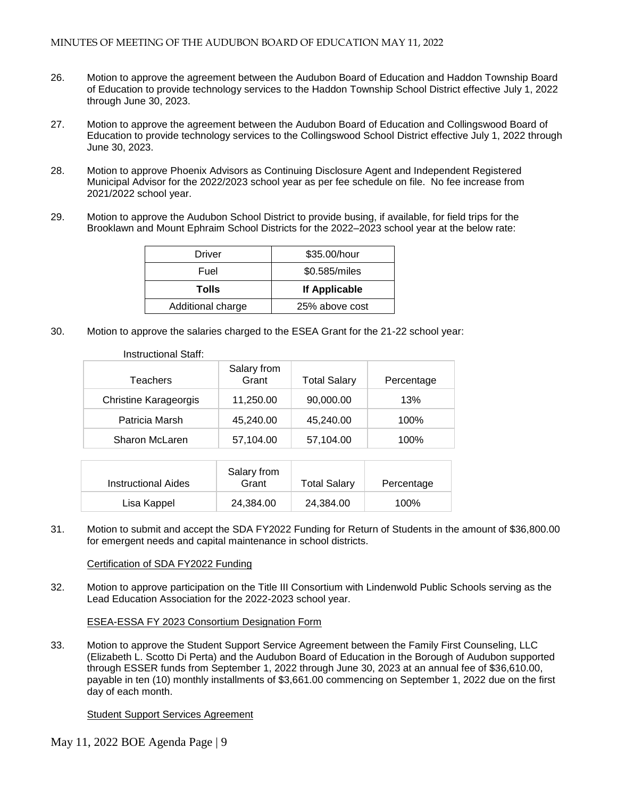- 26. Motion to approve the agreement between the Audubon Board of Education and Haddon Township Board of Education to provide technology services to the Haddon Township School District effective July 1, 2022 through June 30, 2023.
- 27. Motion to approve the agreement between the Audubon Board of Education and Collingswood Board of Education to provide technology services to the Collingswood School District effective July 1, 2022 through June 30, 2023.
- 28. Motion to approve Phoenix Advisors as Continuing Disclosure Agent and Independent Registered Municipal Advisor for the 2022/2023 school year as per fee schedule on file. No fee increase from 2021/2022 school year.
- 29. Motion to approve the Audubon School District to provide busing, if available, for field trips for the Brooklawn and Mount Ephraim School Districts for the 2022–2023 school year at the below rate:

| Driver            | \$35.00/hour   |  |
|-------------------|----------------|--|
| Fuel              | \$0.585/miles  |  |
| Tolls             | If Applicable  |  |
| Additional charge | 25% above cost |  |

30. Motion to approve the salaries charged to the ESEA Grant for the 21-22 school year:

| Instructional Staff:         |                      |                     |            |
|------------------------------|----------------------|---------------------|------------|
| Teachers                     | Salary from<br>Grant | <b>Total Salary</b> | Percentage |
| <b>Christine Karageorgis</b> | 11,250.00            | 90,000.00           | 13%        |
| Patricia Marsh               | 45,240.00            | 45,240.00           | 100%       |
| Sharon McLaren               | 57,104.00            | 57,104.00           | 100%       |

| <b>Instructional Aides</b> | Salary from<br>Grant | <b>Total Salary</b> | Percentage |
|----------------------------|----------------------|---------------------|------------|
| Lisa Kappel                | 24.384.00            | 24.384.00           | 100%       |

31. Motion to submit and accept the SDA FY2022 Funding for Return of Students in the amount of \$36,800.00 for emergent needs and capital maintenance in school districts.

#### [Certification of SDA FY2022 Funding](https://docs.google.com/a/audubonschools.org/viewer?a=v&pid=sites&srcid=YXVkdWJvbnNjaG9vbHMub3JnfGJvYXJkLWFnZW5kYXxneDoyNWI1OTQ5ODk0YzdmYjIz)

32. Motion to approve participation on the Title III Consortium with Lindenwold Public Schools serving as the Lead Education Association for the 2022-2023 school year.

#### [ESEA-ESSA FY 2023 Consortium Designation Form](https://docs.google.com/a/audubonschools.org/viewer?a=v&pid=sites&srcid=YXVkdWJvbnNjaG9vbHMub3JnfGJvYXJkLWFnZW5kYXxneDoxNmU0MjUwMDM1OTljZTA1)

33. Motion to approve the Student Support Service Agreement between the Family First Counseling, LLC (Elizabeth L. Scotto Di Perta) and the Audubon Board of Education in the Borough of Audubon supported through ESSER funds from September 1, 2022 through June 30, 2023 at an annual fee of \$36,610.00, payable in ten (10) monthly installments of \$3,661.00 commencing on September 1, 2022 due on the first day of each month.

# [Student Support Services Agreement](https://docs.google.com/a/audubonschools.org/viewer?a=v&pid=sites&srcid=YXVkdWJvbnNjaG9vbHMub3JnfGJvYXJkLWFnZW5kYXxneDo2Y2JkNzlhZjBmNzNjZDdj)

May 11, 2022 BOE Agenda Page | 9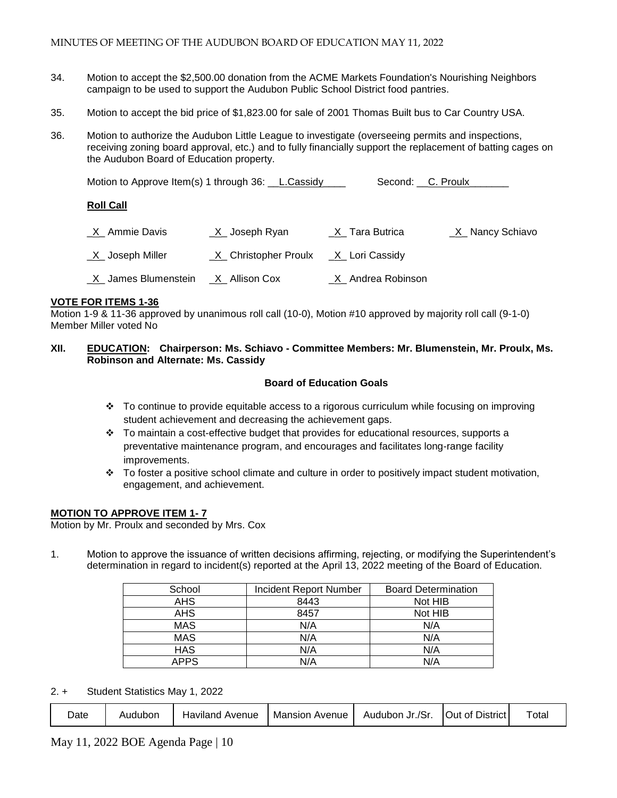- 34. Motion to accept the \$2,500.00 donation from the ACME Markets Foundation's Nourishing Neighbors campaign to be used to support the Audubon Public School District food pantries.
- 35. Motion to accept the bid price of \$1,823.00 for sale of 2001 Thomas Built bus to Car Country USA.
- 36. Motion to authorize the Audubon Little League to investigate (overseeing permits and inspections, receiving zoning board approval, etc.) and to fully financially support the replacement of batting cages on the Audubon Board of Education property.

| Motion to Approve Item(s) 1 through 36: L.Cassidy |  | Second: C. Proulx |
|---------------------------------------------------|--|-------------------|
|---------------------------------------------------|--|-------------------|

#### **Roll Call**

| _X_ Ammie Davis                        | _X_ Joseph Ryan                         | _X_ Tara Butrica            | _X_ Nancy Schiavo |
|----------------------------------------|-----------------------------------------|-----------------------------|-------------------|
| _X_ Joseph Miller                      | $X$ Christopher Proulx $X$ Lori Cassidy |                             |                   |
| _X_ James Blumenstein __X_ Allison Cox |                                         | <u>_X</u> _ Andrea Robinson |                   |

#### **VOTE FOR ITEMS 1-36**

Motion 1-9 & 11-36 approved by unanimous roll call (10-0), Motion #10 approved by majority roll call (9-1-0) Member Miller voted No

#### **XII. EDUCATION: Chairperson: Ms. Schiavo - Committee Members: Mr. Blumenstein, Mr. Proulx, Ms. Robinson and Alternate: Ms. Cassidy**

#### **Board of Education Goals**

- $\div$  To continue to provide equitable access to a rigorous curriculum while focusing on improving student achievement and decreasing the achievement gaps.
- $\div$  To maintain a cost-effective budget that provides for educational resources, supports a preventative maintenance program, and encourages and facilitates long-range facility improvements.
- $\cdot \cdot$  To foster a positive school climate and culture in order to positively impact student motivation, engagement, and achievement.

#### **MOTION TO APPROVE ITEM 1- 7**

Motion by Mr. Proulx and seconded by Mrs. Cox

1. Motion to approve the issuance of written decisions affirming, rejecting, or modifying the Superintendent's determination in regard to incident(s) reported at the April 13, 2022 meeting of the Board of Education.

| School      | Incident Report Number | <b>Board Determination</b> |
|-------------|------------------------|----------------------------|
| <b>AHS</b>  | 8443                   | Not HIB                    |
| <b>AHS</b>  | 8457                   | Not HIB                    |
| <b>MAS</b>  | N/A                    | N/A                        |
| <b>MAS</b>  | N/A                    | N/A                        |
| <b>HAS</b>  | N/A                    | N/A                        |
| <b>APPS</b> | N/A                    | N/A                        |

2. + Student Statistics May 1, 2022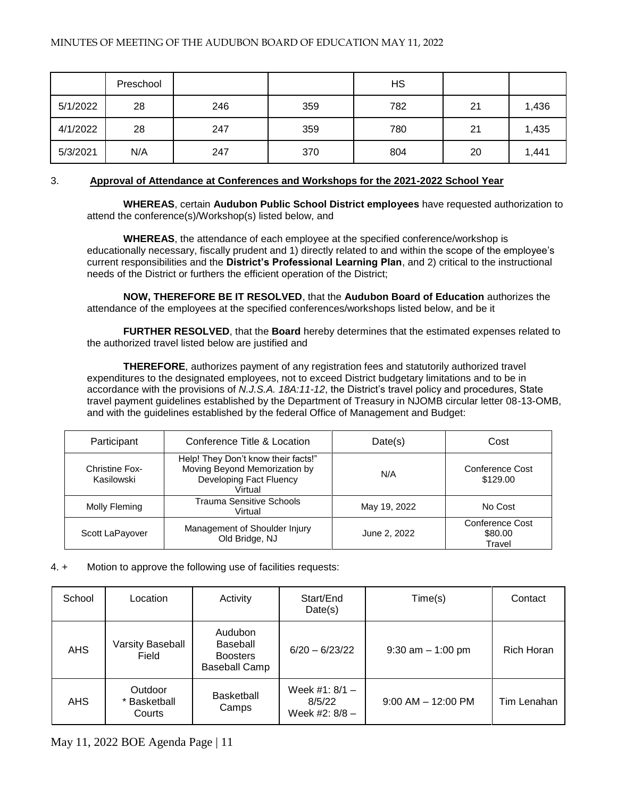|          | Preschool |     |     | <b>HS</b> |    |       |
|----------|-----------|-----|-----|-----------|----|-------|
| 5/1/2022 | 28        | 246 | 359 | 782       | 21 | 1,436 |
| 4/1/2022 | 28        | 247 | 359 | 780       | 21 | 1,435 |
| 5/3/2021 | N/A       | 247 | 370 | 804       | 20 | 1,441 |

# 3. **Approval of Attendance at Conferences and Workshops for the 2021-2022 School Year**

 **WHEREAS**, certain **Audubon Public School District employees** have requested authorization to attend the conference(s)/Workshop(s) listed below, and

**WHEREAS**, the attendance of each employee at the specified conference/workshop is educationally necessary, fiscally prudent and 1) directly related to and within the scope of the employee's current responsibilities and the **District's Professional Learning Plan**, and 2) critical to the instructional needs of the District or furthers the efficient operation of the District;

**NOW, THEREFORE BE IT RESOLVED**, that the **Audubon Board of Education** authorizes the attendance of the employees at the specified conferences/workshops listed below, and be it

**FURTHER RESOLVED**, that the **Board** hereby determines that the estimated expenses related to the authorized travel listed below are justified and

**THEREFORE**, authorizes payment of any registration fees and statutorily authorized travel expenditures to the designated employees, not to exceed District budgetary limitations and to be in accordance with the provisions of *N.J.S.A. 18A:11-12*, the District's travel policy and procedures, State travel payment guidelines established by the Department of Treasury in NJOMB circular letter 08-13-OMB, and with the guidelines established by the federal Office of Management and Budget:

| Participant                         | Conference Title & Location                                                                                | Date(s)      | Cost                                 |
|-------------------------------------|------------------------------------------------------------------------------------------------------------|--------------|--------------------------------------|
| <b>Christine Fox-</b><br>Kasilowski | Help! They Don't know their facts!"<br>Moving Beyond Memorization by<br>Developing Fact Fluency<br>Virtual | N/A          | Conference Cost<br>\$129.00          |
| Molly Fleming                       | <b>Trauma Sensitive Schools</b><br>Virtual                                                                 | May 19, 2022 | No Cost                              |
| Scott LaPayover                     | Management of Shoulder Injury<br>Old Bridge, NJ                                                            | June 2, 2022 | Conference Cost<br>\$80.00<br>Travel |

#### 4. + Motion to approve the following use of facilities requests:

| School     | Location                          | Activity                                                       | Start/End<br>Date(s)                         | Time(s)                | Contact     |
|------------|-----------------------------------|----------------------------------------------------------------|----------------------------------------------|------------------------|-------------|
| <b>AHS</b> | <b>Varsity Baseball</b><br>Field  | Audubon<br>Baseball<br><b>Boosters</b><br><b>Baseball Camp</b> | $6/20 - 6/23/22$                             | $9:30$ am $-1:00$ pm   | Rich Horan  |
| <b>AHS</b> | Outdoor<br>* Basketball<br>Courts | <b>Basketball</b><br>Camps                                     | Week #1: $8/1 -$<br>8/5/22<br>Week #2: 8/8 - | $9:00$ AM $-$ 12:00 PM | Tim Lenahan |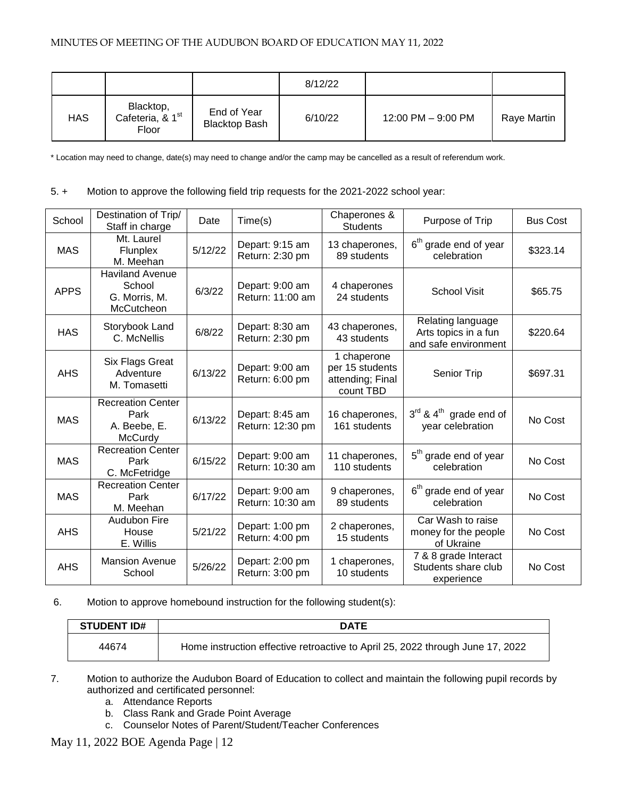|            |                                                    |                                     | 8/12/22 |                    |             |
|------------|----------------------------------------------------|-------------------------------------|---------|--------------------|-------------|
| <b>HAS</b> | Blacktop,<br>Cafeteria, & 1 <sup>st</sup><br>Floor | End of Year<br><b>Blacktop Bash</b> | 6/10/22 | 12:00 PM - 9:00 PM | Raye Martin |

\* Location may need to change, date(s) may need to change and/or the camp may be cancelled as a result of referendum work.

# 5. + Motion to approve the following field trip requests for the 2021-2022 school year:

| School      | Destination of Trip/<br>Staff in charge                         | Date    | Time(s)                             | Chaperones &<br><b>Students</b>                                 | Purpose of Trip                                                   | <b>Bus Cost</b> |
|-------------|-----------------------------------------------------------------|---------|-------------------------------------|-----------------------------------------------------------------|-------------------------------------------------------------------|-----------------|
| <b>MAS</b>  | Mt. Laurel<br>Flunplex<br>M. Meehan                             | 5/12/22 | Depart: 9:15 am<br>Return: 2:30 pm  | 13 chaperones,<br>89 students                                   | 6 <sup>th</sup> grade end of year<br>celebration                  | \$323.14        |
| <b>APPS</b> | <b>Haviland Avenue</b><br>School<br>G. Morris, M.<br>McCutcheon | 6/3/22  | Depart: 9:00 am<br>Return: 11:00 am | 4 chaperones<br>24 students                                     | <b>School Visit</b>                                               | \$65.75         |
| <b>HAS</b>  | Storybook Land<br>C. McNellis                                   | 6/8/22  | Depart: 8:30 am<br>Return: 2:30 pm  | 43 chaperones,<br>43 students                                   | Relating language<br>Arts topics in a fun<br>and safe environment | \$220.64        |
| <b>AHS</b>  | Six Flags Great<br>Adventure<br>M. Tomasetti                    | 6/13/22 | Depart: 9:00 am<br>Return: 6:00 pm  | 1 chaperone<br>per 15 students<br>attending; Final<br>count TBD | Senior Trip                                                       | \$697.31        |
| <b>MAS</b>  | <b>Recreation Center</b><br>Park<br>A. Beebe, E.<br>McCurdy     | 6/13/22 | Depart: 8:45 am<br>Return: 12:30 pm | 16 chaperones,<br>161 students                                  | $3^{rd}$ & $4^{th}$ grade end of<br>year celebration              | No Cost         |
| <b>MAS</b>  | <b>Recreation Center</b><br>Park<br>C. McFetridge               | 6/15/22 | Depart: 9:00 am<br>Return: 10:30 am | 11 chaperones,<br>110 students                                  | 5 <sup>th</sup> grade end of year<br>celebration                  | No Cost         |
| <b>MAS</b>  | <b>Recreation Center</b><br>Park<br>M. Meehan                   | 6/17/22 | Depart: 9:00 am<br>Return: 10:30 am | 9 chaperones,<br>89 students                                    | 6 <sup>th</sup> grade end of year<br>celebration                  | No Cost         |
| <b>AHS</b>  | Audubon Fire<br>House<br>E. Willis                              | 5/21/22 | Depart: 1:00 pm<br>Return: 4:00 pm  | 2 chaperones,<br>15 students                                    | Car Wash to raise<br>money for the people<br>of Ukraine           | No Cost         |
| <b>AHS</b>  | <b>Mansion Avenue</b><br>School                                 | 5/26/22 | Depart: 2:00 pm<br>Return: 3:00 pm  | 1 chaperones,<br>10 students                                    | 7 & 8 grade Interact<br>Students share club<br>experience         | No Cost         |

# 6. Motion to approve homebound instruction for the following student(s):

| <b>STUDENT ID#</b> | <b>DATE</b>                                                                    |
|--------------------|--------------------------------------------------------------------------------|
| 44674              | Home instruction effective retroactive to April 25, 2022 through June 17, 2022 |

- 7. Motion to authorize the Audubon Board of Education to collect and maintain the following pupil records by authorized and certificated personnel:
	- a. Attendance Reports
	- b. Class Rank and Grade Point Average
	- c. Counselor Notes of Parent/Student/Teacher Conferences

May 11, 2022 BOE Agenda Page | 12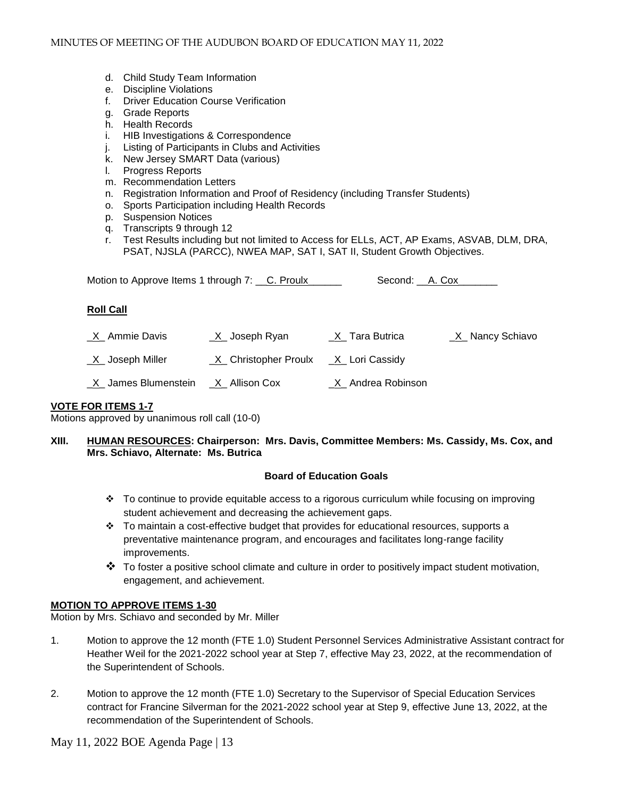- d. Child Study Team Information
- e. Discipline Violations
- f. Driver Education Course Verification
- g. Grade Reports
- h. Health Records
- i. HIB Investigations & Correspondence
- j. Listing of Participants in Clubs and Activities
- k. New Jersey SMART Data (various)
- l. Progress Reports
- m. Recommendation Letters
- n. Registration Information and Proof of Residency (including Transfer Students)
- o. Sports Participation including Health Records
- p. Suspension Notices
- q. Transcripts 9 through 12
- r. Test Results including but not limited to Access for ELLs, ACT, AP Exams, ASVAB, DLM, DRA, PSAT, NJSLA (PARCC), NWEA MAP, SAT I, SAT II, Student Growth Objectives.

Motion to Approve Items 1 through 7: C. Proulx\_\_\_\_\_\_ Second: A. Cox\_\_\_\_\_\_

#### **Roll Call**

| <u>X</u> Ammie Davis       | _ <u>X</u> _ Joseph Ryan | _X_ Tara Butrica            | _X_ Nancy Schiavo |
|----------------------------|--------------------------|-----------------------------|-------------------|
| <u>_X</u> _ Joseph Miller  | _X_ Christopher Proulx   | _X_ Lori Cassidy            |                   |
| <u>X</u> James Blumenstein | _ <u>X</u> _ Allison Cox | <u>_X</u> _ Andrea Robinson |                   |

#### **VOTE FOR ITEMS 1-7**

Motions approved by unanimous roll call (10-0)

#### **XIII. HUMAN RESOURCES: Chairperson: Mrs. Davis, Committee Members: Ms. Cassidy, Ms. Cox, and Mrs. Schiavo, Alternate: Ms. Butrica**

# **Board of Education Goals**

- To continue to provide equitable access to a rigorous curriculum while focusing on improving student achievement and decreasing the achievement gaps.
- \* To maintain a cost-effective budget that provides for educational resources, supports a preventative maintenance program, and encourages and facilitates long-range facility improvements.
- $\clubsuit$  To foster a positive school climate and culture in order to positively impact student motivation, engagement, and achievement.

# **MOTION TO APPROVE ITEMS 1-30**

Motion by Mrs. Schiavo and seconded by Mr. Miller

- 1. Motion to approve the 12 month (FTE 1.0) Student Personnel Services Administrative Assistant contract for Heather Weil for the 2021-2022 school year at Step 7, effective May 23, 2022, at the recommendation of the Superintendent of Schools.
- 2. Motion to approve the 12 month (FTE 1.0) Secretary to the Supervisor of Special Education Services contract for Francine Silverman for the 2021-2022 school year at Step 9, effective June 13, 2022, at the recommendation of the Superintendent of Schools.

May 11, 2022 BOE Agenda Page | 13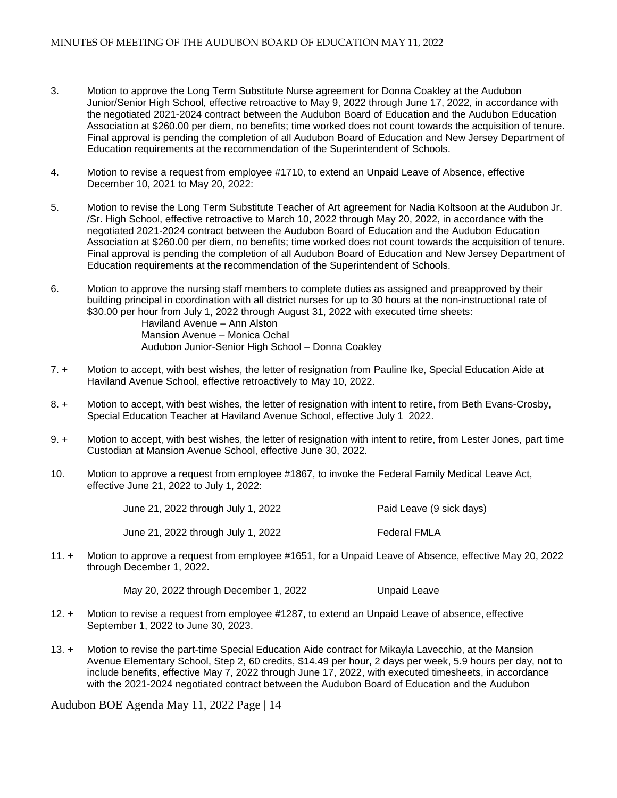- 3. Motion to approve the Long Term Substitute Nurse agreement for Donna Coakley at the Audubon Junior/Senior High School, effective retroactive to May 9, 2022 through June 17, 2022, in accordance with the negotiated 2021-2024 contract between the Audubon Board of Education and the Audubon Education Association at \$260.00 per diem, no benefits; time worked does not count towards the acquisition of tenure. Final approval is pending the completion of all Audubon Board of Education and New Jersey Department of Education requirements at the recommendation of the Superintendent of Schools.
- 4. Motion to revise a request from employee #1710, to extend an Unpaid Leave of Absence, effective December 10, 2021 to May 20, 2022:
- 5. Motion to revise the Long Term Substitute Teacher of Art agreement for Nadia Koltsoon at the Audubon Jr. /Sr. High School, effective retroactive to March 10, 2022 through May 20, 2022, in accordance with the negotiated 2021-2024 contract between the Audubon Board of Education and the Audubon Education Association at \$260.00 per diem, no benefits; time worked does not count towards the acquisition of tenure. Final approval is pending the completion of all Audubon Board of Education and New Jersey Department of Education requirements at the recommendation of the Superintendent of Schools.
- 6. Motion to approve the nursing staff members to complete duties as assigned and preapproved by their building principal in coordination with all district nurses for up to 30 hours at the non-instructional rate of \$30.00 per hour from July 1, 2022 through August 31, 2022 with executed time sheets:

Haviland Avenue – Ann Alston Mansion Avenue – Monica Ochal Audubon Junior-Senior High School – Donna Coakley

- 7. + Motion to accept, with best wishes, the letter of resignation from Pauline Ike, Special Education Aide at Haviland Avenue School, effective retroactively to May 10, 2022.
- 8. + Motion to accept, with best wishes, the letter of resignation with intent to retire, from Beth Evans-Crosby, Special Education Teacher at Haviland Avenue School, effective July 1 2022.
- 9. + Motion to accept, with best wishes, the letter of resignation with intent to retire, from Lester Jones, part time Custodian at Mansion Avenue School, effective June 30, 2022.
- 10. Motion to approve a request from employee #1867, to invoke the Federal Family Medical Leave Act, effective June 21, 2022 to July 1, 2022:

| June 21, 2022 through July 1, 2022  | Paid Leave (9 sick days) |
|-------------------------------------|--------------------------|
| June 21, 2022 through July 1, 2022_ | Federal FMLA             |

11. + Motion to approve a request from employee #1651, for a Unpaid Leave of Absence, effective May 20, 2022 through December 1, 2022.

May 20, 2022 through December 1, 2022 Unpaid Leave

- 12. + Motion to revise a request from employee #1287, to extend an Unpaid Leave of absence, effective September 1, 2022 to June 30, 2023.
- 13. + Motion to revise the part-time Special Education Aide contract for Mikayla Lavecchio, at the Mansion Avenue Elementary School, Step 2, 60 credits, \$14.49 per hour, 2 days per week, 5.9 hours per day, not to include benefits, effective May 7, 2022 through June 17, 2022, with executed timesheets, in accordance with the 2021-2024 negotiated contract between the Audubon Board of Education and the Audubon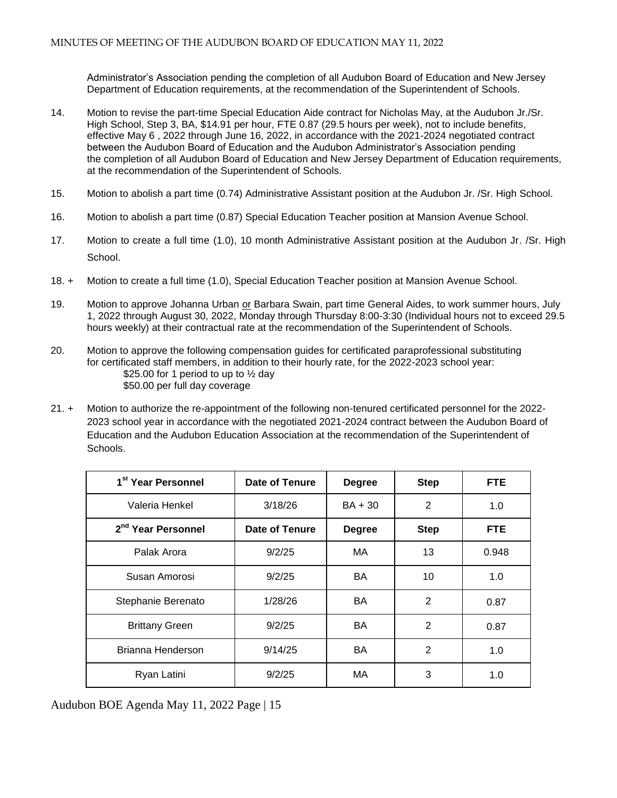Administrator's Association pending the completion of all Audubon Board of Education and New Jersey Department of Education requirements, at the recommendation of the Superintendent of Schools.

- 14. Motion to revise the part-time Special Education Aide contract for Nicholas May, at the Audubon Jr./Sr. High School, Step 3, BA, \$14.91 per hour, FTE 0.87 (29.5 hours per week), not to include benefits, effective May 6 , 2022 through June 16, 2022, in accordance with the 2021-2024 negotiated contract between the Audubon Board of Education and the Audubon Administrator's Association pending the completion of all Audubon Board of Education and New Jersey Department of Education requirements, at the recommendation of the Superintendent of Schools.
- 15. Motion to abolish a part time (0.74) Administrative Assistant position at the Audubon Jr. /Sr. High School.
- 16. Motion to abolish a part time (0.87) Special Education Teacher position at Mansion Avenue School.
- 17. Motion to create a full time (1.0), 10 month Administrative Assistant position at the Audubon Jr. /Sr. High School.
- 18. + Motion to create a full time (1.0), Special Education Teacher position at Mansion Avenue School.
- 19. Motion to approve Johanna Urban or Barbara Swain, part time General Aides, to work summer hours, July 1, 2022 through August 30, 2022, Monday through Thursday 8:00-3:30 (Individual hours not to exceed 29.5 hours weekly) at their contractual rate at the recommendation of the Superintendent of Schools.
- 20. Motion to approve the following compensation guides for certificated paraprofessional substituting for certificated staff members, in addition to their hourly rate, for the 2022-2023 school year: \$25.00 for 1 period to up to  $\frac{1}{2}$  day \$50.00 per full day coverage
- 21. + Motion to authorize the re-appointment of the following non-tenured certificated personnel for the 2022- 2023 school year in accordance with the negotiated 2021-2024 contract between the Audubon Board of Education and the Audubon Education Association at the recommendation of the Superintendent of **Schools**

| 1 <sup>st</sup> Year Personnel | Date of Tenure | <b>Degree</b> | <b>Step</b>    | FTE.       |
|--------------------------------|----------------|---------------|----------------|------------|
| Valeria Henkel                 | 3/18/26        | $BA + 30$     | $\overline{2}$ | 1.0        |
| 2 <sup>nd</sup> Year Personnel | Date of Tenure | <b>Degree</b> | <b>Step</b>    | <b>FTE</b> |
| Palak Arora                    | 9/2/25         | MA            | 13             | 0.948      |
| Susan Amorosi                  | 9/2/25         | BA.           | 10             | 1.0        |
| Stephanie Berenato             | 1/28/26        | <b>BA</b>     | 2              | 0.87       |
| <b>Brittany Green</b>          | 9/2/25         | BA.           | 2              | 0.87       |
| Brianna Henderson              | 9/14/25        | BA            | $\overline{2}$ | 1.0        |
| Ryan Latini                    | 9/2/25         | МA            | 3              | 1.0        |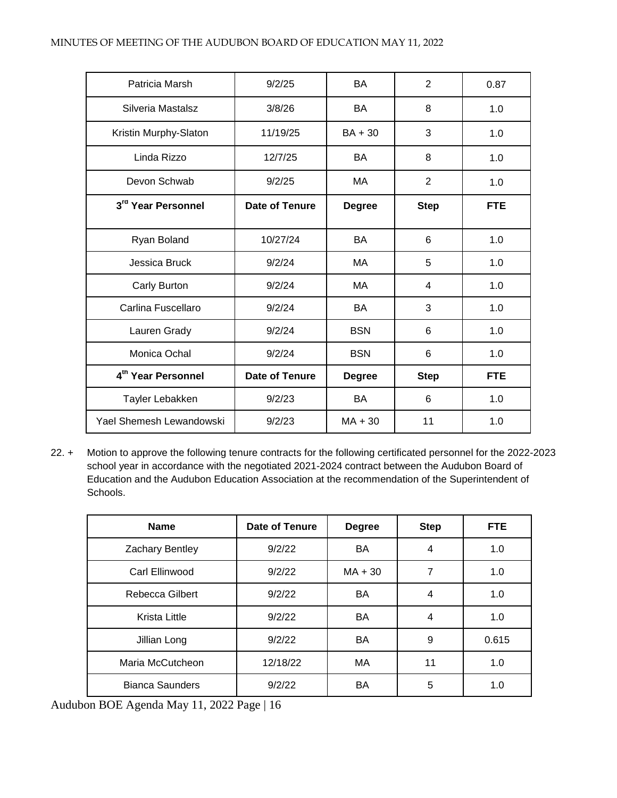| Patricia Marsh                 | 9/2/25                | <b>BA</b>     | $\overline{2}$ | 0.87       |
|--------------------------------|-----------------------|---------------|----------------|------------|
| Silveria Mastalsz              | 3/8/26                | BA            | 8              | 1.0        |
| Kristin Murphy-Slaton          | 11/19/25              | $BA + 30$     | 3              | 1.0        |
| Linda Rizzo                    | 12/7/25               | <b>BA</b>     | 8              | 1.0        |
| Devon Schwab                   | 9/2/25                | MA            | $\overline{2}$ | 1.0        |
| 3rd Year Personnel             | <b>Date of Tenure</b> | <b>Degree</b> | <b>Step</b>    | <b>FTE</b> |
|                                |                       |               |                |            |
| Ryan Boland                    | 10/27/24              | BA            | 6              | 1.0        |
| Jessica Bruck                  | 9/2/24                | MA            | 5              | 1.0        |
| Carly Burton                   | 9/2/24                | MA            | 4              | 1.0        |
| Carlina Fuscellaro             | 9/2/24                | BA.           | 3              | 1.0        |
| Lauren Grady                   | 9/2/24                | <b>BSN</b>    | 6              | 1.0        |
| Monica Ochal                   | 9/2/24                | <b>BSN</b>    | 6              | 1.0        |
| 4 <sup>th</sup> Year Personnel | <b>Date of Tenure</b> | <b>Degree</b> | <b>Step</b>    | <b>FTE</b> |
| Tayler Lebakken                | 9/2/23                | <b>BA</b>     | 6              | 1.0        |
| Yael Shemesh Lewandowski       | 9/2/23                | $MA + 30$     | 11             | 1.0        |

22. + Motion to approve the following tenure contracts for the following certificated personnel for the 2022-2023 school year in accordance with the negotiated 2021-2024 contract between the Audubon Board of Education and the Audubon Education Association at the recommendation of the Superintendent of Schools.

| <b>Name</b>            | Date of Tenure | <b>Degree</b> | <b>Step</b> | FTE.  |
|------------------------|----------------|---------------|-------------|-------|
| Zachary Bentley        | 9/2/22         | BA            | 4           | 1.0   |
| Carl Ellinwood         | 9/2/22         | $MA + 30$     | 7           | 1.0   |
| Rebecca Gilbert        | 9/2/22         | <b>BA</b>     | 4           | 1.0   |
| <b>Krista Little</b>   | 9/2/22         | BA            | 4           | 1.0   |
| Jillian Long           | 9/2/22         | <b>BA</b>     | 9           | 0.615 |
| Maria McCutcheon       | 12/18/22       | MA            | 11          | 1.0   |
| <b>Bianca Saunders</b> | 9/2/22         | BA            | 5           | 1.0   |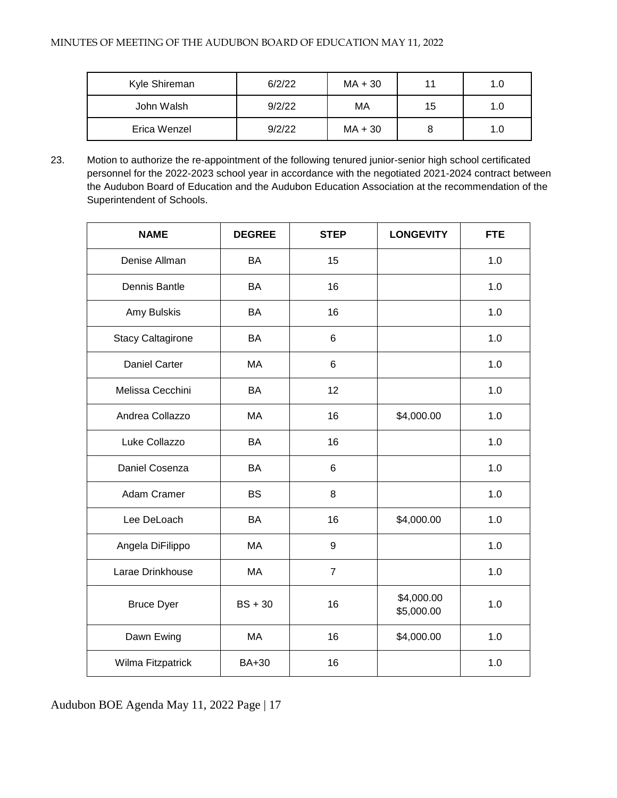| Kyle Shireman | 6/2/22 | $MA + 30$ | 11 | 1.0 |
|---------------|--------|-----------|----|-----|
| John Walsh    | 9/2/22 | МA        | 15 | 1.0 |
| Erica Wenzel  | 9/2/22 | $MA + 30$ |    | 1.0 |

23. Motion to authorize the re-appointment of the following tenured junior-senior high school certificated personnel for the 2022-2023 school year in accordance with the negotiated 2021-2024 contract between the Audubon Board of Education and the Audubon Education Association at the recommendation of the Superintendent of Schools.

| <b>NAME</b>              | <b>DEGREE</b> | <b>STEP</b>    | <b>LONGEVITY</b>         | <b>FTE</b> |
|--------------------------|---------------|----------------|--------------------------|------------|
| Denise Allman            | BA            | 15             |                          | 1.0        |
| Dennis Bantle            | <b>BA</b>     | 16             |                          | 1.0        |
| Amy Bulskis              | BA            | 16             |                          | 1.0        |
| <b>Stacy Caltagirone</b> | BA            | 6              |                          | 1.0        |
| <b>Daniel Carter</b>     | MA            | 6              |                          | 1.0        |
| Melissa Cecchini         | BA            | 12             |                          | 1.0        |
| Andrea Collazzo          | MA            | 16             | \$4,000.00               | 1.0        |
| Luke Collazzo            | <b>BA</b>     | 16             |                          | 1.0        |
| Daniel Cosenza           | BA            | 6              |                          | 1.0        |
| Adam Cramer              | <b>BS</b>     | 8              |                          | 1.0        |
| Lee DeLoach              | <b>BA</b>     | 16             | \$4,000.00               | 1.0        |
| Angela DiFilippo         | MA            | 9              |                          | 1.0        |
| Larae Drinkhouse         | MA            | $\overline{7}$ |                          | 1.0        |
| <b>Bruce Dyer</b>        | $BS + 30$     | 16             | \$4,000.00<br>\$5,000.00 | 1.0        |
| Dawn Ewing               | MA            | 16             | \$4,000.00               | 1.0        |
| Wilma Fitzpatrick        | BA+30         | 16             |                          | 1.0        |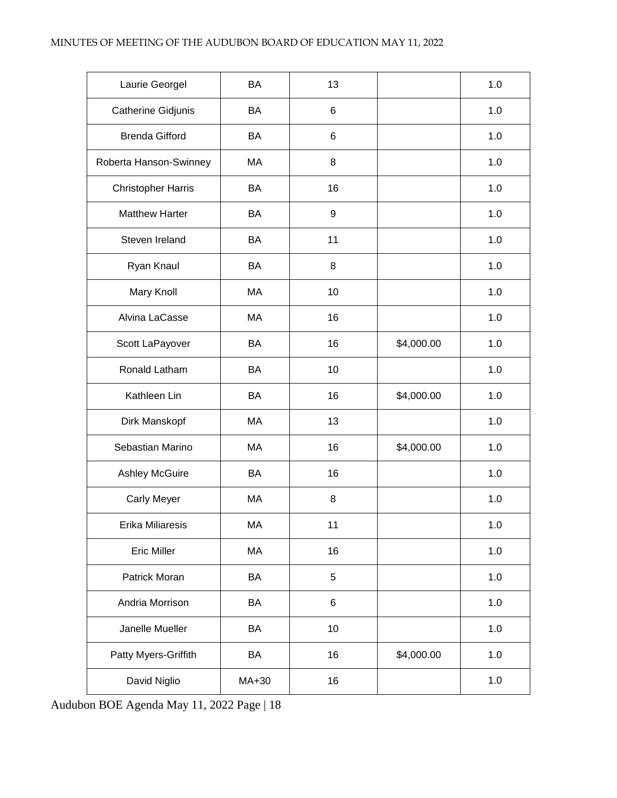| Laurie Georgel            | <b>BA</b> | 13 |            | 1.0   |
|---------------------------|-----------|----|------------|-------|
| Catherine Gidjunis        | BA        | 6  |            | 1.0   |
| <b>Brenda Gifford</b>     | BA        | 6  |            | 1.0   |
| Roberta Hanson-Swinney    | MA        | 8  |            | 1.0   |
| <b>Christopher Harris</b> | BA        | 16 |            | 1.0   |
| <b>Matthew Harter</b>     | BA        | 9  |            | 1.0   |
| Steven Ireland            | <b>BA</b> | 11 |            | 1.0   |
| Ryan Knaul                | BA        | 8  |            | 1.0   |
| Mary Knoll                | MA        | 10 |            | 1.0   |
| Alvina LaCasse            | MA        | 16 |            | 1.0   |
| Scott LaPayover           | BA        | 16 | \$4,000.00 | 1.0   |
| Ronald Latham             | BA        | 10 |            | 1.0   |
| Kathleen Lin              | BA        | 16 | \$4,000.00 | 1.0   |
| Dirk Manskopf             | MA        | 13 |            | 1.0   |
| Sebastian Marino          | MA        | 16 | \$4,000.00 | 1.0   |
| <b>Ashley McGuire</b>     | BA        | 16 |            | 1.0   |
| <b>Carly Meyer</b>        | МA        | 8  |            | 1.0   |
| Erika Miliaresis          | MA        | 11 |            | 1.0   |
| <b>Eric Miller</b>        | MA        | 16 |            | 1.0   |
| Patrick Moran             | BA        | 5  |            | 1.0   |
| Andria Morrison           | BA        | 6  |            | 1.0   |
| Janelle Mueller           | BA        | 10 |            | 1.0   |
| Patty Myers-Griffith      | BA        | 16 | \$4,000.00 | 1.0   |
| David Niglio              | MA+30     | 16 |            | $1.0$ |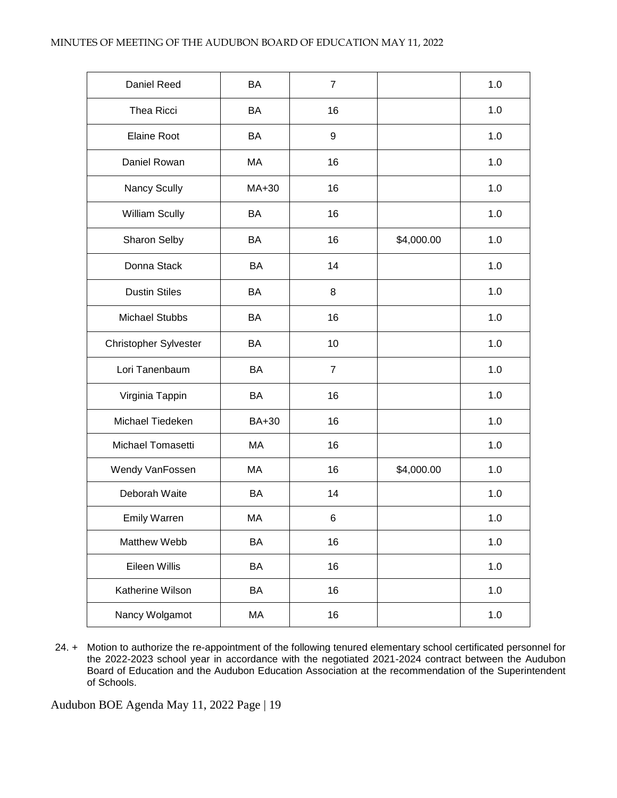| Daniel Reed           | <b>BA</b>    | $\overline{7}$ |            | 1.0 |
|-----------------------|--------------|----------------|------------|-----|
| Thea Ricci            | BA           | 16             |            | 1.0 |
| <b>Elaine Root</b>    | BA           | 9              |            | 1.0 |
| Daniel Rowan          | MA           | 16             |            | 1.0 |
| Nancy Scully          | MA+30        | 16             |            | 1.0 |
| William Scully        | BA           | 16             |            | 1.0 |
| Sharon Selby          | <b>BA</b>    | 16             | \$4,000.00 | 1.0 |
| Donna Stack           | BA           | 14             |            | 1.0 |
| <b>Dustin Stiles</b>  | BA           | 8              |            | 1.0 |
| <b>Michael Stubbs</b> | BA           | 16             |            | 1.0 |
| Christopher Sylvester | BA           | 10             |            | 1.0 |
| Lori Tanenbaum        | BA           | $\overline{7}$ |            | 1.0 |
| Virginia Tappin       | BA           | 16             |            | 1.0 |
| Michael Tiedeken      | <b>BA+30</b> | 16             |            | 1.0 |
| Michael Tomasetti     | MA           | 16             |            | 1.0 |
| Wendy VanFossen       | MA           | 16             | \$4,000.00 | 1.0 |
| Deborah Waite         | BA           | 14             |            | 1.0 |
| <b>Emily Warren</b>   | MA           | 6              |            | 1.0 |
| Matthew Webb          | BA           | 16             |            | 1.0 |
| Eileen Willis         | BA           | 16             |            | 1.0 |
| Katherine Wilson      | BA           | 16             |            | 1.0 |
| Nancy Wolgamot        | MA           | 16             |            | 1.0 |

24. + Motion to authorize the re-appointment of the following tenured elementary school certificated personnel for the 2022-2023 school year in accordance with the negotiated 2021-2024 contract between the Audubon Board of Education and the Audubon Education Association at the recommendation of the Superintendent of Schools.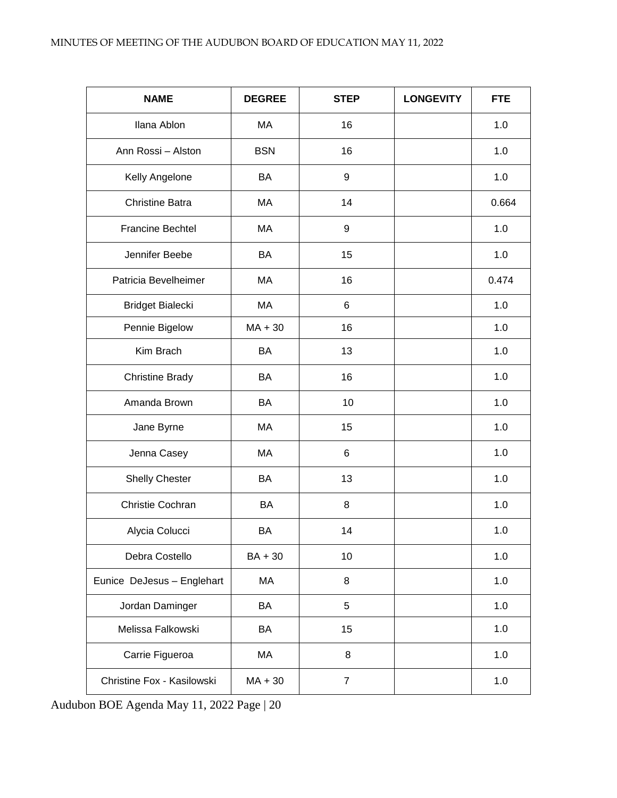| <b>NAME</b>                | <b>DEGREE</b> | <b>STEP</b>    | <b>LONGEVITY</b> | <b>FTE</b> |
|----------------------------|---------------|----------------|------------------|------------|
| Ilana Ablon                | MA            | 16             |                  | 1.0        |
| Ann Rossi - Alston         | <b>BSN</b>    | 16             |                  | 1.0        |
| Kelly Angelone             | BA            | 9              |                  | 1.0        |
| <b>Christine Batra</b>     | MA            | 14             |                  | 0.664      |
| <b>Francine Bechtel</b>    | MA            | 9              |                  | 1.0        |
| Jennifer Beebe             | BA            | 15             |                  | 1.0        |
| Patricia Bevelheimer       | MA            | 16             |                  | 0.474      |
| Bridget Bialecki           | MA            | 6              |                  | 1.0        |
| Pennie Bigelow             | $MA + 30$     | 16             |                  | 1.0        |
| Kim Brach                  | BA            | 13             |                  | 1.0        |
| <b>Christine Brady</b>     | BA            | 16             |                  | 1.0        |
| Amanda Brown               | BA            | 10             |                  | 1.0        |
| Jane Byrne                 | МA            | 15             |                  | 1.0        |
| Jenna Casey                | MA            | 6              |                  | 1.0        |
| <b>Shelly Chester</b>      | BA            | 13             |                  | 1.0        |
| Christie Cochran           | BA            | 8              |                  | 1.0        |
| Alycia Colucci             | BA            | 14             |                  | 1.0        |
| Debra Costello             | BA + 30       | 10             |                  | 1.0        |
| Eunice DeJesus - Englehart | MA            | 8              |                  | 1.0        |
| Jordan Daminger            | BA            | 5              |                  | 1.0        |
| Melissa Falkowski          | BA            | 15             |                  | 1.0        |
| Carrie Figueroa            | МA            | 8              |                  | 1.0        |
| Christine Fox - Kasilowski | $MA + 30$     | $\overline{7}$ |                  | 1.0        |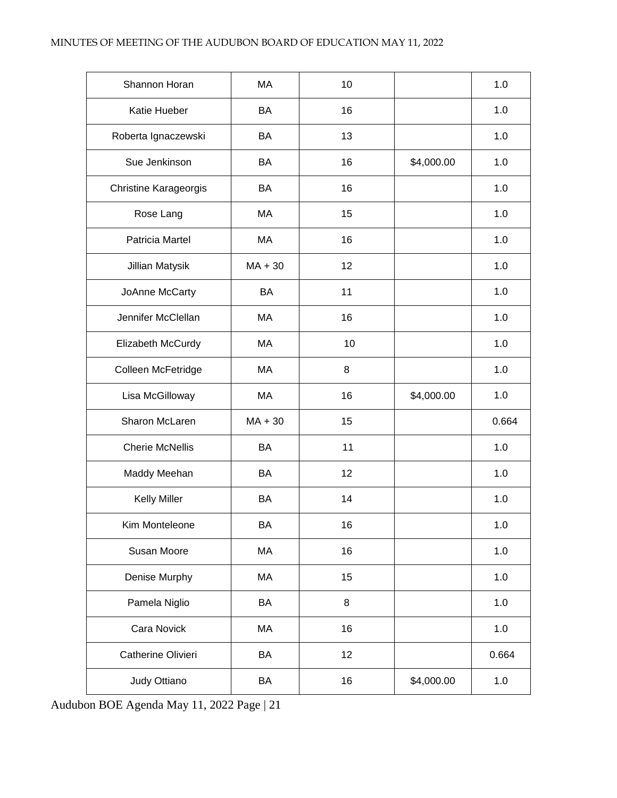| Shannon Horan                | MA        | 10 |            | 1.0   |
|------------------------------|-----------|----|------------|-------|
| Katie Hueber                 | BA        | 16 |            | 1.0   |
| Roberta Ignaczewski          | BA        | 13 |            | 1.0   |
| Sue Jenkinson                | <b>BA</b> | 16 | \$4,000.00 | 1.0   |
| <b>Christine Karageorgis</b> | BA        | 16 |            | 1.0   |
| Rose Lang                    | MA        | 15 |            | 1.0   |
| Patricia Martel              | MA        | 16 |            | 1.0   |
| Jillian Matysik              | $MA + 30$ | 12 |            | 1.0   |
| JoAnne McCarty               | BA        | 11 |            | 1.0   |
| Jennifer McClellan           | MA        | 16 |            | 1.0   |
| Elizabeth McCurdy            | MA        | 10 |            | 1.0   |
| Colleen McFetridge           | MA        | 8  |            | 1.0   |
| Lisa McGilloway              | MA        | 16 | \$4,000.00 | 1.0   |
| Sharon McLaren               | $MA + 30$ | 15 |            | 0.664 |
| <b>Cherie McNellis</b>       | BA        | 11 |            | 1.0   |
| Maddy Meehan                 | BA        | 12 |            | 1.0   |
| <b>Kelly Miller</b>          | BA        | 14 |            | 1.0   |
| Kim Monteleone               | BA        | 16 |            | 1.0   |
| Susan Moore                  | MA        | 16 |            | 1.0   |
| Denise Murphy                | MA        | 15 |            | 1.0   |
| Pamela Niglio                | BA        | 8  |            | 1.0   |
| Cara Novick                  | МA        | 16 |            | $1.0$ |
| Catherine Olivieri           | BA        | 12 |            | 0.664 |
| Judy Ottiano                 | BA        | 16 | \$4,000.00 | $1.0$ |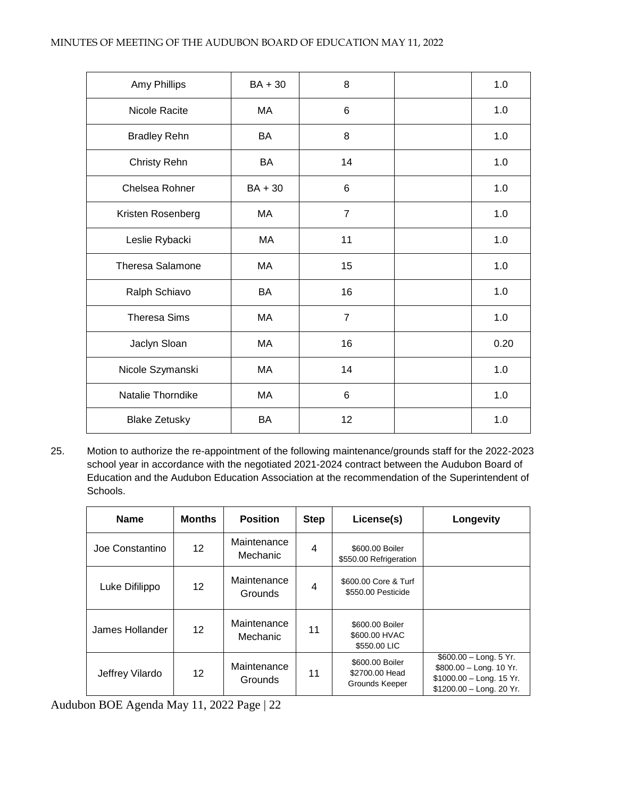| Amy Phillips            | BA + 30   | 8              | 1.0  |
|-------------------------|-----------|----------------|------|
| Nicole Racite           | МA        | 6              | 1.0  |
| <b>Bradley Rehn</b>     | BA        | 8              | 1.0  |
| Christy Rehn            | <b>BA</b> | 14             | 1.0  |
| Chelsea Rohner          | $BA + 30$ | 6              | 1.0  |
| Kristen Rosenberg       | MA        | $\overline{7}$ | 1.0  |
| Leslie Rybacki          | МA        | 11             | 1.0  |
| <b>Theresa Salamone</b> | MA        | 15             | 1.0  |
| Ralph Schiavo           | BA        | 16             | 1.0  |
| <b>Theresa Sims</b>     | MA        | $\overline{7}$ | 1.0  |
| Jaclyn Sloan            | MA        | 16             | 0.20 |
| Nicole Szymanski        | МA        | 14             | 1.0  |
| Natalie Thorndike       | MA        | 6              | 1.0  |
| <b>Blake Zetusky</b>    | <b>BA</b> | 12             | 1.0  |

25. Motion to authorize the re-appointment of the following maintenance/grounds staff for the 2022-2023 school year in accordance with the negotiated 2021-2024 contract between the Audubon Board of Education and the Audubon Education Association at the recommendation of the Superintendent of Schools.

| <b>Name</b>     | <b>Months</b>   | <b>Position</b>               | <b>Step</b>    | License(s)                                          | Longevity                                                                                                   |
|-----------------|-----------------|-------------------------------|----------------|-----------------------------------------------------|-------------------------------------------------------------------------------------------------------------|
| Joe Constantino | 12 <sup>2</sup> | Maintenance<br>Mechanic       | $\overline{4}$ | \$600.00 Boiler<br>\$550.00 Refrigeration           |                                                                                                             |
| Luke Difilippo  | 12 <sup>2</sup> | Maintenance<br><b>Grounds</b> | 4              | \$600.00 Core & Turf<br>\$550.00 Pesticide          |                                                                                                             |
| James Hollander | 12              | Maintenance<br>Mechanic       | 11             | \$600,00 Boiler<br>\$600.00 HVAC<br>\$550.00 LIC    |                                                                                                             |
| Jeffrey Vilardo | 12              | Maintenance<br><b>Grounds</b> | 11             | \$600,00 Boiler<br>\$2700.00 Head<br>Grounds Keeper | $$600.00 - Long. 5$ Yr.<br>\$800.00 - Long. 10 Yr.<br>$$1000.00 - Long. 15$ Yr.<br>\$1200.00 - Long. 20 Yr. |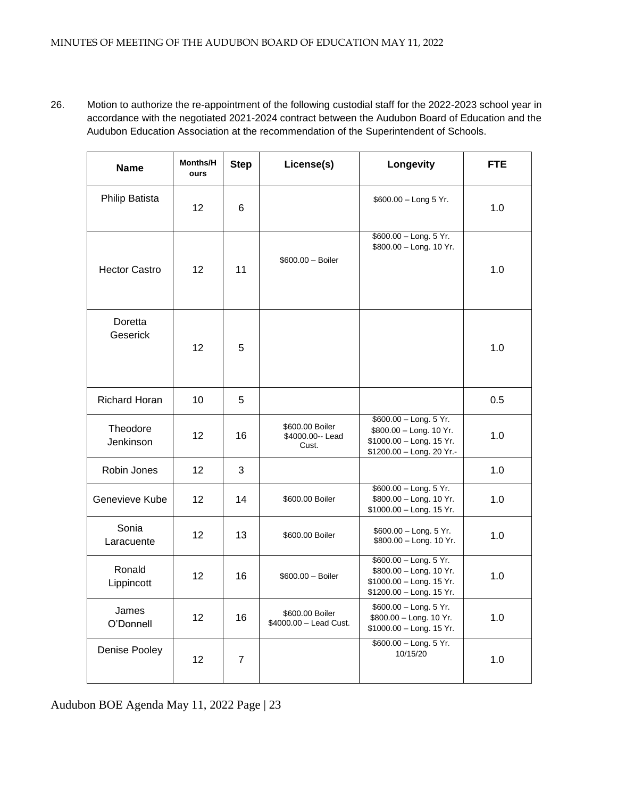26. Motion to authorize the re-appointment of the following custodial staff for the 2022-2023 school year in accordance with the negotiated 2021-2024 contract between the Audubon Board of Education and the Audubon Education Association at the recommendation of the Superintendent of Schools.

| <b>Name</b>           | <b>Months/H</b><br>ours | <b>Step</b> | License(s)                                    | Longevity                                                                                                  | <b>FTE</b> |
|-----------------------|-------------------------|-------------|-----------------------------------------------|------------------------------------------------------------------------------------------------------------|------------|
| <b>Philip Batista</b> | 12                      | 6           |                                               | \$600.00 - Long 5 Yr.                                                                                      | 1.0        |
| <b>Hector Castro</b>  | 12                      | 11          | $$600.00 - Boiler$                            | \$600.00 - Long. 5 Yr.<br>\$800.00 - Long. 10 Yr.                                                          | 1.0        |
| Doretta<br>Geserick   | 12                      | 5           |                                               |                                                                                                            | 1.0        |
| <b>Richard Horan</b>  | 10                      | 5           |                                               |                                                                                                            | 0.5        |
| Theodore<br>Jenkinson | 12                      | 16          | \$600.00 Boiler<br>\$4000.00 -- Lead<br>Cust. | \$600.00 - Long. 5 Yr.<br>\$800.00 - Long. 10 Yr.<br>\$1000.00 - Long. 15 Yr.<br>\$1200.00 - Long. 20 Yr.- | 1.0        |
| Robin Jones           | 12                      | 3           |                                               |                                                                                                            | 1.0        |
| Genevieve Kube        | 12                      | 14          | \$600.00 Boiler                               | \$600.00 - Long. 5 Yr.<br>\$800.00 - Long. 10 Yr.<br>\$1000.00 - Long. 15 Yr.                              | 1.0        |
| Sonia<br>Laracuente   | 12                      | 13          | \$600.00 Boiler                               | $$600.00 - Long. 5 Yr.$<br>\$800.00 - Long. 10 Yr.                                                         | 1.0        |
| Ronald<br>Lippincott  | 12                      | 16          | $$600.00 - Boiler$                            | \$600.00 - Long. 5 Yr.<br>\$800.00 - Long. 10 Yr.<br>\$1000.00 - Long. 15 Yr.<br>\$1200.00 - Long. 15 Yr.  | 1.0        |
| James<br>O'Donnell    | 12                      | 16          | \$600.00 Boiler<br>\$4000.00 - Lead Cust.     | \$600.00 - Long. 5 Yr.<br>\$800.00 - Long. 10 Yr.<br>\$1000.00 - Long. 15 Yr.                              | 1.0        |
| Denise Pooley         | 12                      | 7           |                                               | \$600.00 - Long. 5 Yr.<br>10/15/20                                                                         | 1.0        |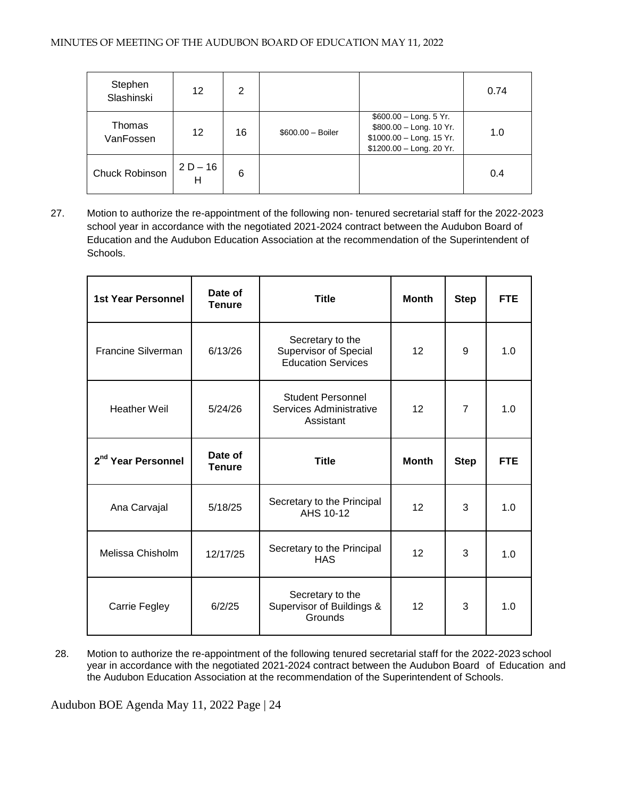| Stephen<br>Slashinski | 12              | 2  |                    |                                                                                                            | 0.74 |
|-----------------------|-----------------|----|--------------------|------------------------------------------------------------------------------------------------------------|------|
| Thomas<br>VanFossen   | 12              | 16 | $$600.00 - Boiler$ | $$600.00 - Long. 5$ Yr.<br>\$800.00 - Long. 10 Yr.<br>\$1000.00 - Long. 15 Yr.<br>\$1200.00 - Long. 20 Yr. | 1.0  |
| Chuck Robinson        | $2 D - 16$<br>н | 6  |                    |                                                                                                            | 0.4  |

27. Motion to authorize the re-appointment of the following non- tenured secretarial staff for the 2022-2023 school year in accordance with the negotiated 2021-2024 contract between the Audubon Board of Education and the Audubon Education Association at the recommendation of the Superintendent of Schools.

| <b>1st Year Personnel</b>      | Date of<br><b>Tenure</b> | <b>Title</b>                                                                  | <b>Month</b>    | <b>Step</b>    | <b>FTE</b> |
|--------------------------------|--------------------------|-------------------------------------------------------------------------------|-----------------|----------------|------------|
| Francine Silverman             | 6/13/26                  | Secretary to the<br><b>Supervisor of Special</b><br><b>Education Services</b> | 12              |                | 1.0        |
| <b>Heather Weil</b>            | 5/24/26                  | <b>Student Personnel</b><br>12<br>Services Administrative<br>Assistant        |                 | $\overline{7}$ | 1.0        |
| 2 <sup>nd</sup> Year Personnel | Date of<br><b>Tenure</b> | <b>Title</b>                                                                  | <b>Month</b>    | <b>Step</b>    | <b>FTE</b> |
| Ana Carvajal                   | 5/18/25                  | Secretary to the Principal<br>AHS 10-12                                       | 12              | 3              | 1.0        |
| Melissa Chisholm               | 12/17/25                 | Secretary to the Principal<br><b>HAS</b>                                      | 12 <sup>2</sup> | 3              | 1.0        |
| Carrie Fegley                  | 6/2/25                   | Secretary to the<br>Supervisor of Buildings &<br>Grounds                      | 12              | 3              | 1.0        |

28. Motion to authorize the re-appointment of the following tenured secretarial staff for the 2022-2023 school year in accordance with the negotiated 2021-2024 contract between the Audubon Board of Education and the Audubon Education Association at the recommendation of the Superintendent of Schools.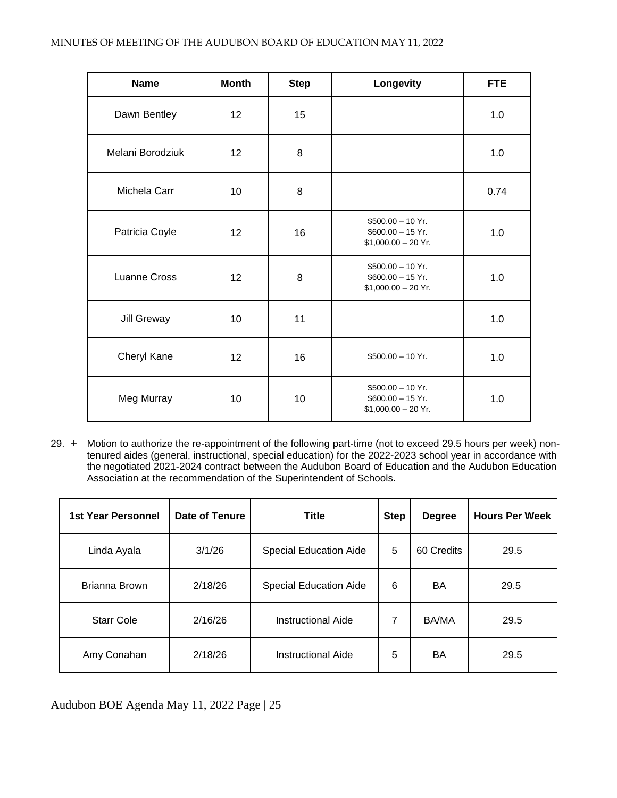| <b>Name</b>         | <b>Month</b>    | <b>Step</b> | Longevity                                                        | <b>FTE</b> |
|---------------------|-----------------|-------------|------------------------------------------------------------------|------------|
| Dawn Bentley        | 12 <sup>2</sup> | 15          |                                                                  | 1.0        |
| Melani Borodziuk    | 12              | 8           |                                                                  | 1.0        |
| Michela Carr        | 10              | 8           |                                                                  | 0.74       |
| Patricia Coyle      | 12              | 16          | $$500.00 - 10$ Yr.<br>$$600.00 - 15$ Yr.<br>$$1,000.00 - 20$ Yr. | 1.0        |
| <b>Luanne Cross</b> | 12              | 8           | $$500.00 - 10$ Yr.<br>$$600.00 - 15$ Yr.<br>$$1,000.00 - 20$ Yr. | 1.0        |
| Jill Greway         | 10              | 11          |                                                                  | 1.0        |
| Cheryl Kane         | 12              | 16          | $$500.00 - 10$ Yr.                                               | 1.0        |
| Meg Murray          | 10              | 10          | $$500.00 - 10$ Yr.<br>$$600.00 - 15$ Yr.<br>$$1,000.00 - 20$ Yr. | 1.0        |

29. + Motion to authorize the re-appointment of the following part-time (not to exceed 29.5 hours per week) nontenured aides (general, instructional, special education) for the 2022-2023 school year in accordance with the negotiated 2021-2024 contract between the Audubon Board of Education and the Audubon Education Association at the recommendation of the Superintendent of Schools.

| 1st Year Personnel | Date of Tenure | <b>Title</b>                  | <b>Step</b> | <b>Degree</b> | <b>Hours Per Week</b> |
|--------------------|----------------|-------------------------------|-------------|---------------|-----------------------|
| Linda Ayala        | 3/1/26         | <b>Special Education Aide</b> | 5           | 60 Credits    | 29.5                  |
| Brianna Brown      | 2/18/26        | <b>Special Education Aide</b> | 6           | BA            | 29.5                  |
| <b>Starr Cole</b>  | 2/16/26        | <b>Instructional Aide</b>     | 7           | BA/MA         | 29.5                  |
| Amy Conahan        | 2/18/26        | <b>Instructional Aide</b>     | 5           | BA            | 29.5                  |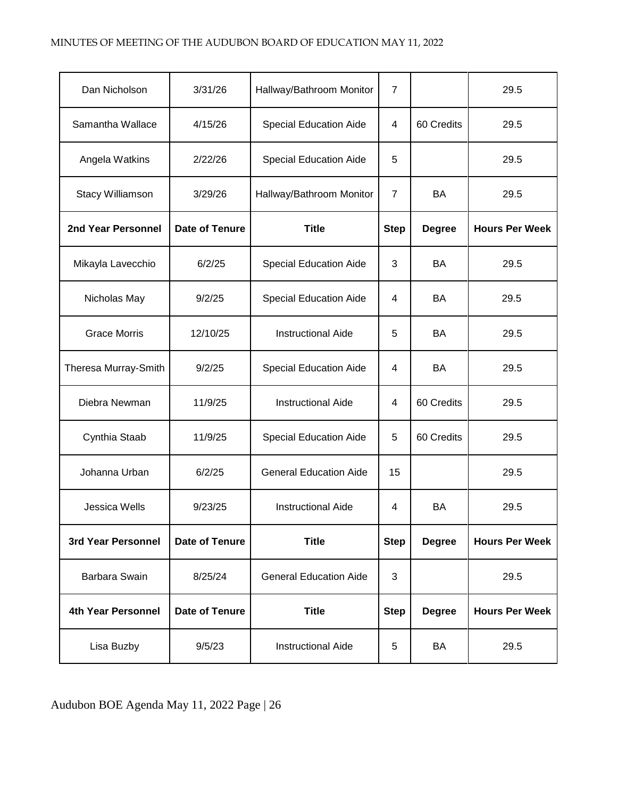| Dan Nicholson             | 3/31/26               | Hallway/Bathroom Monitor      | $\overline{7}$ |               | 29.5                  |
|---------------------------|-----------------------|-------------------------------|----------------|---------------|-----------------------|
| Samantha Wallace          | 4/15/26               | <b>Special Education Aide</b> | 4              | 60 Credits    | 29.5                  |
| Angela Watkins            | 2/22/26               | <b>Special Education Aide</b> | 5              |               | 29.5                  |
| Stacy Williamson          | 3/29/26               | Hallway/Bathroom Monitor      | $\overline{7}$ | BA            | 29.5                  |
| 2nd Year Personnel        | Date of Tenure        | <b>Title</b>                  | <b>Step</b>    | <b>Degree</b> | <b>Hours Per Week</b> |
| Mikayla Lavecchio         | 6/2/25                | <b>Special Education Aide</b> | 3              | <b>BA</b>     | 29.5                  |
| Nicholas May              | 9/2/25                | <b>Special Education Aide</b> | 4              | <b>BA</b>     | 29.5                  |
| <b>Grace Morris</b>       | 12/10/25              | <b>Instructional Aide</b>     | 5              | BA            | 29.5                  |
| Theresa Murray-Smith      | 9/2/25                | <b>Special Education Aide</b> | 4              | BA            | 29.5                  |
| Diebra Newman             | 11/9/25               | <b>Instructional Aide</b>     | 4              | 60 Credits    | 29.5                  |
| Cynthia Staab             | 11/9/25               | <b>Special Education Aide</b> | 5              | 60 Credits    | 29.5                  |
| Johanna Urban             | 6/2/25                | <b>General Education Aide</b> | 15             |               | 29.5                  |
| <b>Jessica Wells</b>      | 9/23/25               | <b>Instructional Aide</b>     | 4              | BA            | 29.5                  |
| 3rd Year Personnel        | <b>Date of Tenure</b> | <b>Title</b>                  | <b>Step</b>    | <b>Degree</b> | <b>Hours Per Week</b> |
| Barbara Swain             | 8/25/24               | <b>General Education Aide</b> | 3              |               | 29.5                  |
| <b>4th Year Personnel</b> | <b>Date of Tenure</b> | <b>Title</b>                  | <b>Step</b>    | <b>Degree</b> | <b>Hours Per Week</b> |
| Lisa Buzby                | 9/5/23                | <b>Instructional Aide</b>     | 5              | BA            | 29.5                  |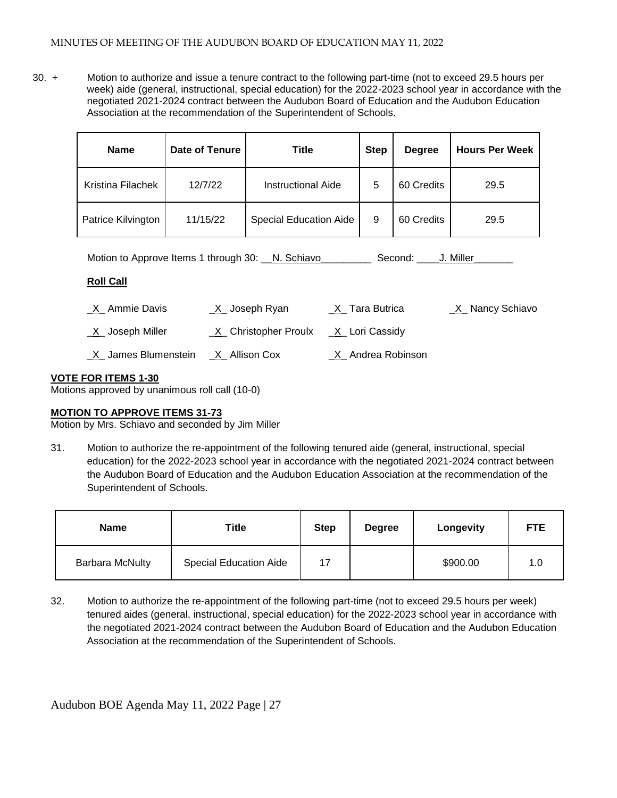30. + Motion to authorize and issue a tenure contract to the following part-time (not to exceed 29.5 hours per week) aide (general, instructional, special education) for the 2022-2023 school year in accordance with the negotiated 2021-2024 contract between the Audubon Board of Education and the Audubon Education Association at the recommendation of the Superintendent of Schools.

| <b>Name</b>        | Date of Tenure | Title                         | <b>Step</b> | <b>Degree</b> | <b>Hours Per Week</b> |
|--------------------|----------------|-------------------------------|-------------|---------------|-----------------------|
| Kristina Filachek  | 12/7/22        | <b>Instructional Aide</b>     | 5           | 60 Credits    | 29.5                  |
| Patrice Kilvington | 11/15/22       | <b>Special Education Aide</b> | 9           | 60 Credits    | 29.5                  |

| Motion to Approve Items 1 through 30: N. Schiavo | Second: J. Miller |  |
|--------------------------------------------------|-------------------|--|
|--------------------------------------------------|-------------------|--|

# **Roll Call**

| <u>X</u> Ammie Davis                  | _X_ Joseph Ryan                         | _ <u>X</u> _ Tara Butrica | _X_ Nancy Schiavo |
|---------------------------------------|-----------------------------------------|---------------------------|-------------------|
| <u>X</u> _Joseph Miller               | $X$ Christopher Proulx $X$ Lori Cassidy |                           |                   |
| $X$ James Blumenstein $X$ Allison Cox |                                         | _X_ Andrea Robinson       |                   |

# **VOTE FOR ITEMS 1-30**

Motions approved by unanimous roll call (10-0)

# **MOTION TO APPROVE ITEMS 31-73**

Motion by Mrs. Schiavo and seconded by Jim Miller

31. Motion to authorize the re-appointment of the following tenured aide (general, instructional, special education) for the 2022-2023 school year in accordance with the negotiated 2021-2024 contract between the Audubon Board of Education and the Audubon Education Association at the recommendation of the Superintendent of Schools.

| <b>Name</b>            | Title                         | <b>Step</b> | <b>Degree</b> | Longevity | <b>FTE</b> |
|------------------------|-------------------------------|-------------|---------------|-----------|------------|
| <b>Barbara McNulty</b> | <b>Special Education Aide</b> | 17          |               | \$900.00  | 1.0        |

32. Motion to authorize the re-appointment of the following part-time (not to exceed 29.5 hours per week) tenured aides (general, instructional, special education) for the 2022-2023 school year in accordance with the negotiated 2021-2024 contract between the Audubon Board of Education and the Audubon Education Association at the recommendation of the Superintendent of Schools.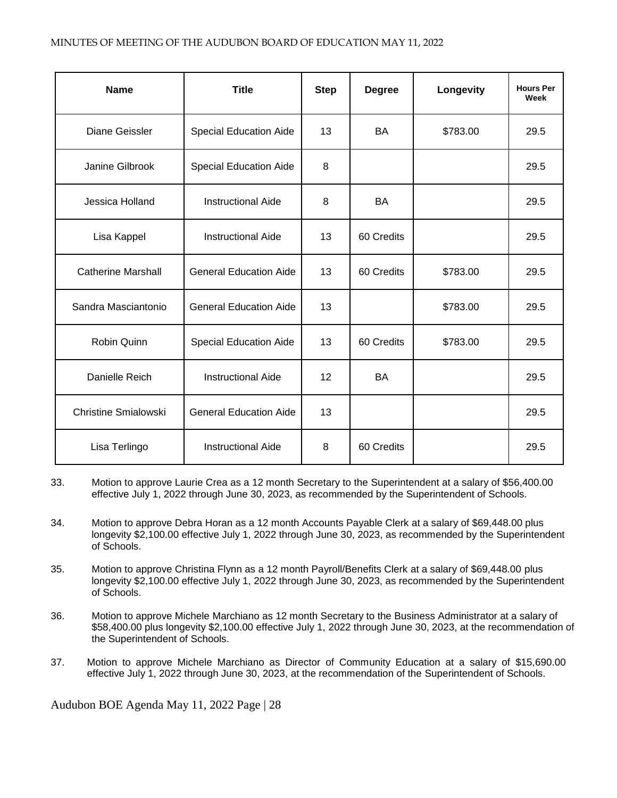| <b>Name</b>                 | <b>Title</b>                  | <b>Step</b> | <b>Degree</b> | Longevity | <b>Hours Per</b><br>Week |
|-----------------------------|-------------------------------|-------------|---------------|-----------|--------------------------|
| Diane Geissler              | <b>Special Education Aide</b> | 13          | BA            | \$783.00  | 29.5                     |
| Janine Gilbrook             | <b>Special Education Aide</b> | 8           |               |           | 29.5                     |
| Jessica Holland             | <b>Instructional Aide</b>     | 8           | <b>BA</b>     |           | 29.5                     |
| Lisa Kappel                 | <b>Instructional Aide</b>     | 13          | 60 Credits    |           | 29.5                     |
| <b>Catherine Marshall</b>   | <b>General Education Aide</b> | 13          | 60 Credits    | \$783.00  | 29.5                     |
| Sandra Masciantonio         | <b>General Education Aide</b> | 13          |               | \$783.00  | 29.5                     |
| Robin Quinn                 | <b>Special Education Aide</b> | 13          | 60 Credits    | \$783.00  | 29.5                     |
| Danielle Reich              | <b>Instructional Aide</b>     | 12          | <b>BA</b>     |           | 29.5                     |
| <b>Christine Smialowski</b> | <b>General Education Aide</b> | 13          |               |           | 29.5                     |
| Lisa Terlingo               | <b>Instructional Aide</b>     | 8           | 60 Credits    |           | 29.5                     |

- 33. Motion to approve Laurie Crea as a 12 month Secretary to the Superintendent at a salary of \$56,400.00 effective July 1, 2022 through June 30, 2023, as recommended by the Superintendent of Schools.
- 34. Motion to approve Debra Horan as a 12 month Accounts Payable Clerk at a salary of \$69,448.00 plus longevity \$2,100.00 effective July 1, 2022 through June 30, 2023, as recommended by the Superintendent of Schools.
- 35. Motion to approve Christina Flynn as a 12 month Payroll/Benefits Clerk at a salary of \$69,448.00 plus longevity \$2,100.00 effective July 1, 2022 through June 30, 2023, as recommended by the Superintendent of Schools.
- 36. Motion to approve Michele Marchiano as 12 month Secretary to the Business Administrator at a salary of \$58,400.00 plus longevity \$2,100.00 effective July 1, 2022 through June 30, 2023, at the recommendation of the Superintendent of Schools.
- 37. Motion to approve Michele Marchiano as Director of Community Education at a salary of \$15,690.00 effective July 1, 2022 through June 30, 2023, at the recommendation of the Superintendent of Schools.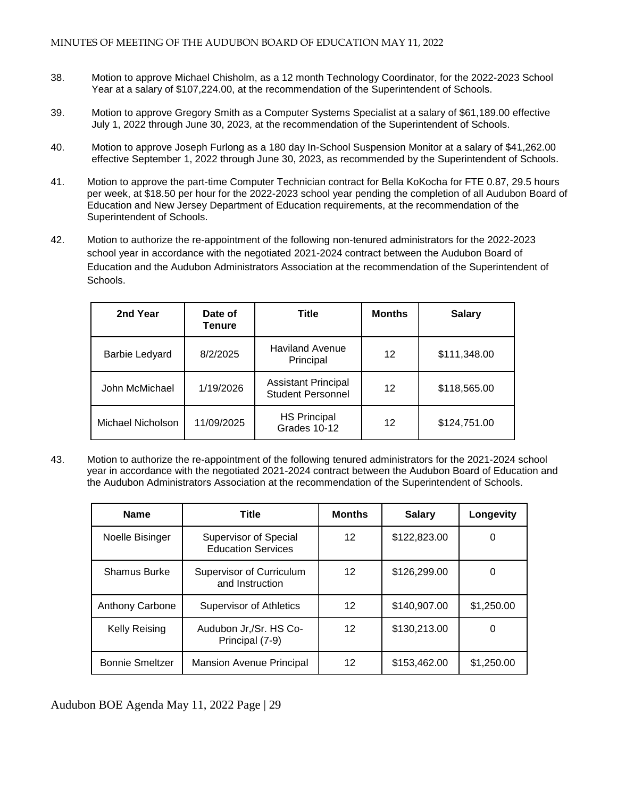- 38. Motion to approve Michael Chisholm, as a 12 month Technology Coordinator, for the 2022-2023 School Year at a salary of \$107,224.00, at the recommendation of the Superintendent of Schools.
- 39. Motion to approve Gregory Smith as a Computer Systems Specialist at a salary of \$61,189.00 effective July 1, 2022 through June 30, 2023, at the recommendation of the Superintendent of Schools.
- 40. Motion to approve Joseph Furlong as a 180 day In-School Suspension Monitor at a salary of \$41,262.00 effective September 1, 2022 through June 30, 2023, as recommended by the Superintendent of Schools.
- 41. Motion to approve the part-time Computer Technician contract for Bella KoKocha for FTE 0.87, 29.5 hours per week, at \$18.50 per hour for the 2022-2023 school year pending the completion of all Audubon Board of Education and New Jersey Department of Education requirements, at the recommendation of the Superintendent of Schools.
- 42. Motion to authorize the re-appointment of the following non-tenured administrators for the 2022-2023 school year in accordance with the negotiated 2021-2024 contract between the Audubon Board of Education and the Audubon Administrators Association at the recommendation of the Superintendent of **Schools**

| 2nd Year              | Date of<br>Tenure | <b>Title</b>                                           | <b>Months</b> | <b>Salary</b> |
|-----------------------|-------------------|--------------------------------------------------------|---------------|---------------|
| <b>Barbie Ledyard</b> | 8/2/2025          | <b>Haviland Avenue</b><br>Principal                    | 12            | \$111,348.00  |
| John McMichael        | 1/19/2026         | <b>Assistant Principal</b><br><b>Student Personnel</b> | 12            | \$118,565.00  |
| Michael Nicholson     | 11/09/2025        | <b>HS Principal</b><br>Grades 10-12                    | 12            | \$124,751.00  |

43. Motion to authorize the re-appointment of the following tenured administrators for the 2021-2024 school year in accordance with the negotiated 2021-2024 contract between the Audubon Board of Education and the Audubon Administrators Association at the recommendation of the Superintendent of Schools.

| <b>Name</b>            | Title                                              | <b>Months</b> | <b>Salary</b> | Longevity  |
|------------------------|----------------------------------------------------|---------------|---------------|------------|
| Noelle Bisinger        | Supervisor of Special<br><b>Education Services</b> | 12            | \$122,823.00  | O          |
| <b>Shamus Burke</b>    | Supervisor of Curriculum<br>and Instruction        | 12            | \$126,299.00  |            |
| Anthony Carbone        | <b>Supervisor of Athletics</b>                     | 12            | \$140,907.00  | \$1,250.00 |
| <b>Kelly Reising</b>   | Audubon Jr,/Sr. HS Co-<br>Principal (7-9)          | 12            | \$130,213.00  | 0          |
| <b>Bonnie Smeltzer</b> | <b>Mansion Avenue Principal</b>                    | 12            | \$153,462.00  | \$1,250.00 |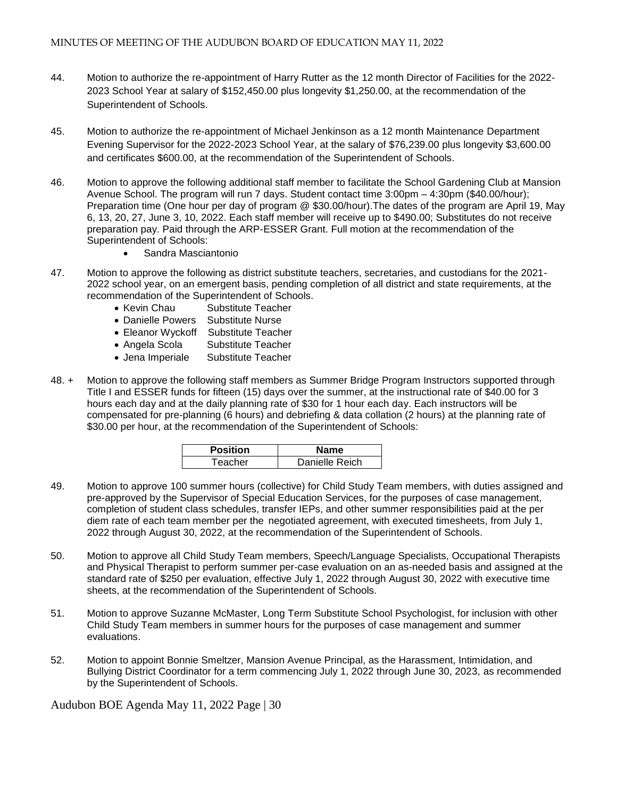- 44. Motion to authorize the re-appointment of Harry Rutter as the 12 month Director of Facilities for the 2022- 2023 School Year at salary of \$152,450.00 plus longevity \$1,250.00, at the recommendation of the Superintendent of Schools.
- 45. Motion to authorize the re-appointment of Michael Jenkinson as a 12 month Maintenance Department Evening Supervisor for the 2022-2023 School Year, at the salary of \$76,239.00 plus longevity \$3,600.00 and certificates \$600.00, at the recommendation of the Superintendent of Schools.
- 46. Motion to approve the following additional staff member to facilitate the School Gardening Club at Mansion Avenue School. The program will run 7 days. Student contact time 3:00pm – 4:30pm (\$40.00/hour); Preparation time (One hour per day of program @ \$30.00/hour).The dates of the program are April 19, May 6, 13, 20, 27, June 3, 10, 2022. Each staff member will receive up to \$490.00; Substitutes do not receive preparation pay. Paid through the ARP-ESSER Grant. Full motion at the recommendation of the Superintendent of Schools:
	- Sandra Masciantonio
- 47. Motion to approve the following as district substitute teachers, secretaries, and custodians for the 2021- 2022 school year, on an emergent basis, pending completion of all district and state requirements, at the recommendation of the Superintendent of Schools.
	- Kevin Chau Substitute Teacher
	- Danielle Powers Substitute Nurse
	- Eleanor Wyckoff Substitute Teacher
	- Angela Scola Substitute Teacher
	- Jena Imperiale Substitute Teacher
- 48. + Motion to approve the following staff members as Summer Bridge Program Instructors supported through Title I and ESSER funds for fifteen (15) days over the summer, at the instructional rate of \$40.00 for 3 hours each day and at the daily planning rate of \$30 for 1 hour each day. Each instructors will be compensated for pre-planning (6 hours) and debriefing & data collation (2 hours) at the planning rate of \$30.00 per hour, at the recommendation of the Superintendent of Schools:

| <b>Position</b> | Name           |
|-----------------|----------------|
| Teacher         | Danielle Reich |

- 49. Motion to approve 100 summer hours (collective) for Child Study Team members, with duties assigned and pre-approved by the Supervisor of Special Education Services, for the purposes of case management, completion of student class schedules, transfer IEPs, and other summer responsibilities paid at the per diem rate of each team member per the negotiated agreement, with executed timesheets, from July 1, 2022 through August 30, 2022, at the recommendation of the Superintendent of Schools.
- 50. Motion to approve all Child Study Team members, Speech/Language Specialists, Occupational Therapists and Physical Therapist to perform summer per-case evaluation on an as-needed basis and assigned at the standard rate of \$250 per evaluation, effective July 1, 2022 through August 30, 2022 with executive time sheets, at the recommendation of the Superintendent of Schools.
- 51. Motion to approve Suzanne McMaster, Long Term Substitute School Psychologist, for inclusion with other Child Study Team members in summer hours for the purposes of case management and summer evaluations.
- 52. Motion to appoint Bonnie Smeltzer, Mansion Avenue Principal, as the Harassment, Intimidation, and Bullying District Coordinator for a term commencing July 1, 2022 through June 30, 2023, as recommended by the Superintendent of Schools.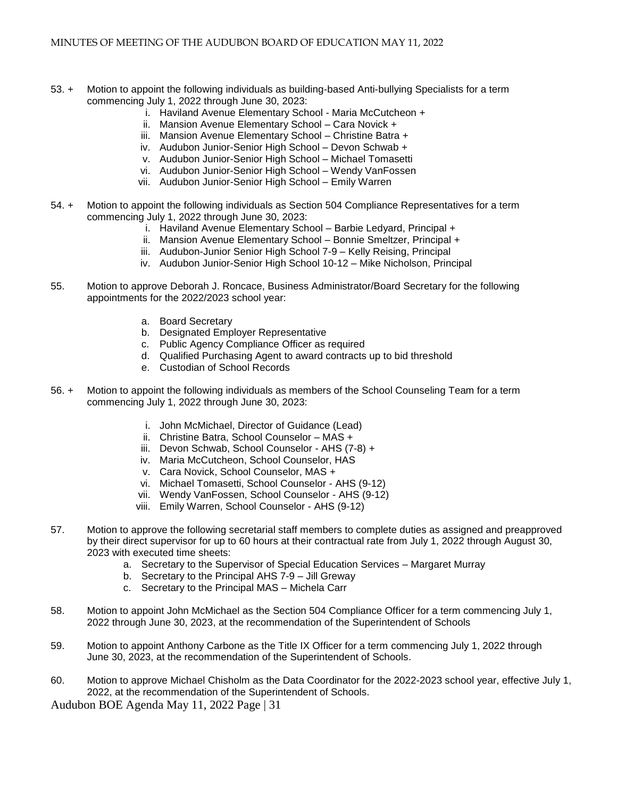- 53. + Motion to appoint the following individuals as building-based Anti-bullying Specialists for a term commencing July 1, 2022 through June 30, 2023:
	- i. Haviland Avenue Elementary School Maria McCutcheon +
	- ii. Mansion Avenue Elementary School Cara Novick +
	- iii. Mansion Avenue Elementary School Christine Batra +
	- iv. Audubon Junior-Senior High School Devon Schwab +
	- v. Audubon Junior-Senior High School Michael Tomasetti
	- vi. Audubon Junior-Senior High School Wendy VanFossen
	- vii. Audubon Junior-Senior High School Emily Warren
- 54. + Motion to appoint the following individuals as Section 504 Compliance Representatives for a term commencing July 1, 2022 through June 30, 2023:
	- i. Haviland Avenue Elementary School Barbie Ledyard, Principal +
	- ii. Mansion Avenue Elementary School Bonnie Smeltzer, Principal +
	- iii. Audubon-Junior Senior High School 7-9 Kelly Reising, Principal
	- iv. Audubon Junior-Senior High School 10-12 Mike Nicholson, Principal
- 55. Motion to approve Deborah J. Roncace, Business Administrator/Board Secretary for the following appointments for the 2022/2023 school year:
	- a. Board Secretary
	- b. Designated Employer Representative
	- c. Public Agency Compliance Officer as required
	- d. Qualified Purchasing Agent to award contracts up to bid threshold
	- e. Custodian of School Records
- 56. + Motion to appoint the following individuals as members of the School Counseling Team for a term commencing July 1, 2022 through June 30, 2023:
	- i. John McMichael, Director of Guidance (Lead)
	- ii. Christine Batra, School Counselor MAS +
	- iii. Devon Schwab, School Counselor AHS (7-8) +
	- iv. Maria McCutcheon, School Counselor, HAS
	- v. Cara Novick, School Counselor, MAS +
	- vi. Michael Tomasetti, School Counselor AHS (9-12)
	- vii. Wendy VanFossen, School Counselor AHS (9-12)
	- viii. Emily Warren, School Counselor AHS (9-12)
- 57. Motion to approve the following secretarial staff members to complete duties as assigned and preapproved by their direct supervisor for up to 60 hours at their contractual rate from July 1, 2022 through August 30, 2023 with executed time sheets:
	- a. Secretary to the Supervisor of Special Education Services Margaret Murray
	- b. Secretary to the Principal AHS 7-9 Jill Greway
	- c. Secretary to the Principal MAS Michela Carr
- 58. Motion to appoint John McMichael as the Section 504 Compliance Officer for a term commencing July 1, 2022 through June 30, 2023, at the recommendation of the Superintendent of Schools
- 59. Motion to appoint Anthony Carbone as the Title IX Officer for a term commencing July 1, 2022 through June 30, 2023, at the recommendation of the Superintendent of Schools.
- 60. Motion to approve Michael Chisholm as the Data Coordinator for the 2022-2023 school year, effective July 1, 2022, at the recommendation of the Superintendent of Schools.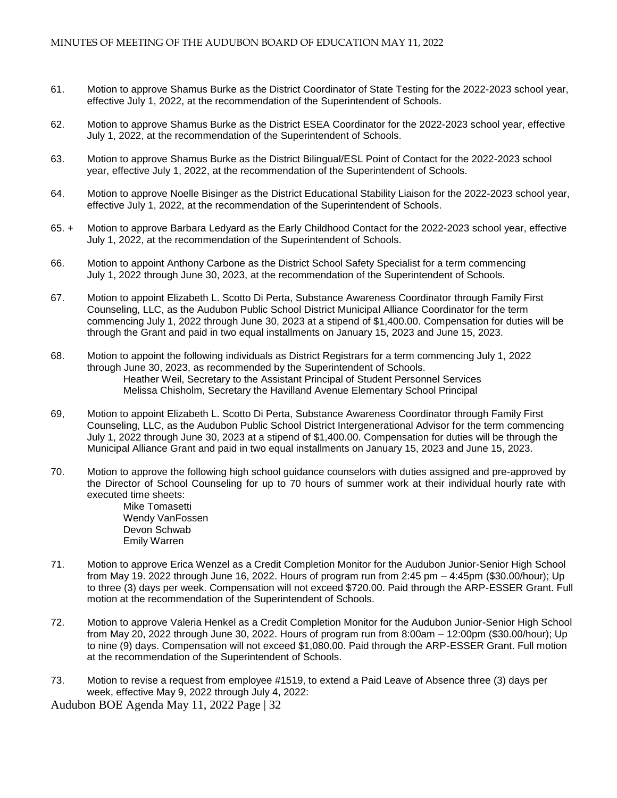- 61. Motion to approve Shamus Burke as the District Coordinator of State Testing for the 2022-2023 school year, effective July 1, 2022, at the recommendation of the Superintendent of Schools.
- 62. Motion to approve Shamus Burke as the District ESEA Coordinator for the 2022-2023 school year, effective July 1, 2022, at the recommendation of the Superintendent of Schools.
- 63. Motion to approve Shamus Burke as the District Bilingual/ESL Point of Contact for the 2022-2023 school year, effective July 1, 2022, at the recommendation of the Superintendent of Schools.
- 64. Motion to approve Noelle Bisinger as the District Educational Stability Liaison for the 2022-2023 school year, effective July 1, 2022, at the recommendation of the Superintendent of Schools.
- 65. + Motion to approve Barbara Ledyard as the Early Childhood Contact for the 2022-2023 school year, effective July 1, 2022, at the recommendation of the Superintendent of Schools.
- 66. Motion to appoint Anthony Carbone as the District School Safety Specialist for a term commencing July 1, 2022 through June 30, 2023, at the recommendation of the Superintendent of Schools.
- 67. Motion to appoint Elizabeth L. Scotto Di Perta, Substance Awareness Coordinator through Family First Counseling, LLC, as the Audubon Public School District Municipal Alliance Coordinator for the term commencing July 1, 2022 through June 30, 2023 at a stipend of \$1,400.00. Compensation for duties will be through the Grant and paid in two equal installments on January 15, 2023 and June 15, 2023.
- 68. Motion to appoint the following individuals as District Registrars for a term commencing July 1, 2022 through June 30, 2023, as recommended by the Superintendent of Schools. Heather Weil, Secretary to the Assistant Principal of Student Personnel Services Melissa Chisholm, Secretary the Havilland Avenue Elementary School Principal
- 69, Motion to appoint Elizabeth L. Scotto Di Perta, Substance Awareness Coordinator through Family First Counseling, LLC, as the Audubon Public School District Intergenerational Advisor for the term commencing July 1, 2022 through June 30, 2023 at a stipend of \$1,400.00. Compensation for duties will be through the Municipal Alliance Grant and paid in two equal installments on January 15, 2023 and June 15, 2023.
- 70. Motion to approve the following high school guidance counselors with duties assigned and pre-approved by the Director of School Counseling for up to 70 hours of summer work at their individual hourly rate with executed time sheets:
	- Mike Tomasetti Wendy VanFossen Devon Schwab Emily Warren
- 71. Motion to approve Erica Wenzel as a Credit Completion Monitor for the Audubon Junior-Senior High School from May 19. 2022 through June 16, 2022. Hours of program run from 2:45 pm – 4:45pm (\$30.00/hour); Up to three (3) days per week. Compensation will not exceed \$720.00. Paid through the ARP-ESSER Grant. Full motion at the recommendation of the Superintendent of Schools.
- 72. Motion to approve Valeria Henkel as a Credit Completion Monitor for the Audubon Junior-Senior High School from May 20, 2022 through June 30, 2022. Hours of program run from 8:00am – 12:00pm (\$30.00/hour); Up to nine (9) days. Compensation will not exceed \$1,080.00. Paid through the ARP-ESSER Grant. Full motion at the recommendation of the Superintendent of Schools.
- 73. Motion to revise a request from employee #1519, to extend a Paid Leave of Absence three (3) days per week, effective May 9, 2022 through July 4, 2022: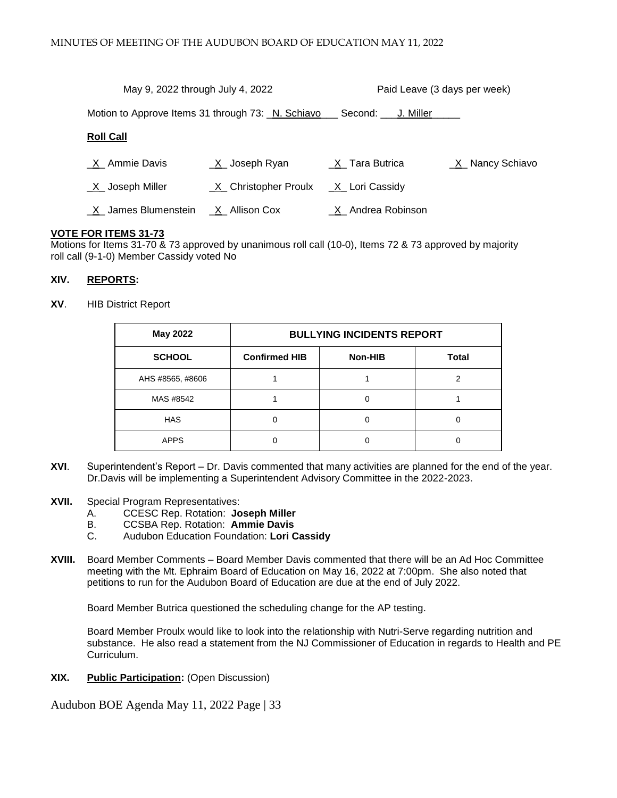| May 9, 2022 through July 4, 2022 |                                                   | Paid Leave (3 days per week) |                        |
|----------------------------------|---------------------------------------------------|------------------------------|------------------------|
|                                  | Motion to Approve Items 31 through 73: N. Schiavo | Second: U. Miller            |                        |
| <b>Roll Call</b>                 |                                                   |                              |                        |
| X Ammie Davis                    | $X$ Joseph Ryan                                   | _X_Tara Butrica              | <u>X</u> Nancy Schiavo |
| $X$ Joseph Miller                | X Christopher Proulx                              | _X_ Lori Cassidy             |                        |
| X James Blumenstein              | X Allison Cox                                     | X Andrea Robinson            |                        |

#### **VOTE FOR ITEMS 31-73**

Motions for Items 31-70 & 73 approved by unanimous roll call (10-0), Items 72 & 73 approved by majority roll call (9-1-0) Member Cassidy voted No

#### **XIV. REPORTS:**

**XV**. HIB District Report

| May 2022         | <b>BULLYING INCIDENTS REPORT</b> |         |              |  |
|------------------|----------------------------------|---------|--------------|--|
| <b>SCHOOL</b>    | <b>Confirmed HIB</b>             | Non-HIB | <b>Total</b> |  |
| AHS #8565, #8606 |                                  |         |              |  |
| MAS #8542        |                                  |         |              |  |
| <b>HAS</b>       |                                  |         |              |  |
| <b>APPS</b>      |                                  |         |              |  |

- **XVI**. Superintendent's Report Dr. Davis commented that many activities are planned for the end of the year. Dr.Davis will be implementing a Superintendent Advisory Committee in the 2022-2023.
- **XVII.** Special Program Representatives:
	- A. CCESC Rep. Rotation: **Joseph Miller**
	- B. CCSBA Rep. Rotation: **Ammie Davis**
	- C. Audubon Education Foundation: **Lori Cassidy**
- **XVIII.** Board Member Comments Board Member Davis commented that there will be an Ad Hoc Committee meeting with the Mt. Ephraim Board of Education on May 16, 2022 at 7:00pm. She also noted that petitions to run for the Audubon Board of Education are due at the end of July 2022.

Board Member Butrica questioned the scheduling change for the AP testing.

Board Member Proulx would like to look into the relationship with Nutri-Serve regarding nutrition and substance. He also read a statement from the NJ Commissioner of Education in regards to Health and PE Curriculum.

**XIX. Public Participation:** (Open Discussion)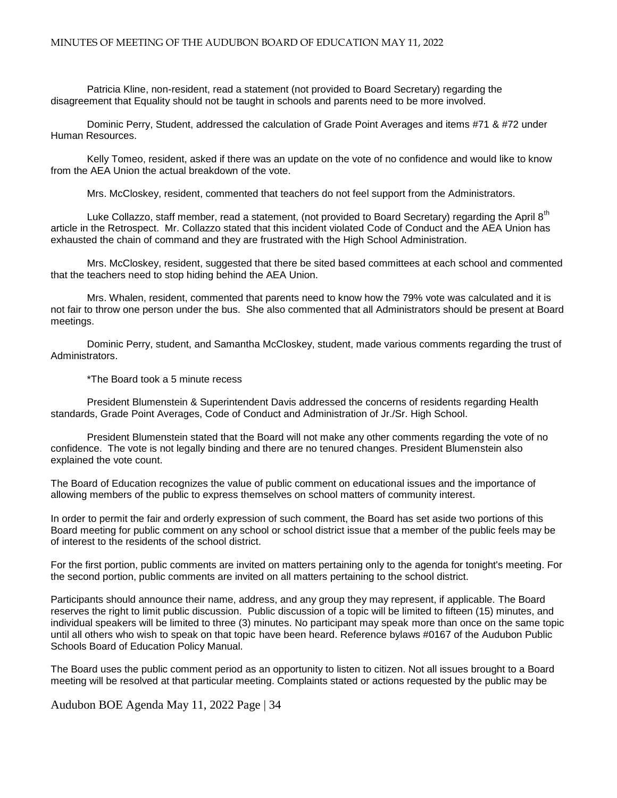Patricia Kline, non-resident, read a statement (not provided to Board Secretary) regarding the disagreement that Equality should not be taught in schools and parents need to be more involved.

Dominic Perry, Student, addressed the calculation of Grade Point Averages and items #71 & #72 under Human Resources.

Kelly Tomeo, resident, asked if there was an update on the vote of no confidence and would like to know from the AEA Union the actual breakdown of the vote.

Mrs. McCloskey, resident, commented that teachers do not feel support from the Administrators.

Luke Collazzo, staff member, read a statement, (not provided to Board Secretary) regarding the April 8<sup>th</sup> article in the Retrospect. Mr. Collazzo stated that this incident violated Code of Conduct and the AEA Union has exhausted the chain of command and they are frustrated with the High School Administration.

Mrs. McCloskey, resident, suggested that there be sited based committees at each school and commented that the teachers need to stop hiding behind the AEA Union.

Mrs. Whalen, resident, commented that parents need to know how the 79% vote was calculated and it is not fair to throw one person under the bus. She also commented that all Administrators should be present at Board meetings.

Dominic Perry, student, and Samantha McCloskey, student, made various comments regarding the trust of Administrators.

\*The Board took a 5 minute recess

President Blumenstein & Superintendent Davis addressed the concerns of residents regarding Health standards, Grade Point Averages, Code of Conduct and Administration of Jr./Sr. High School.

President Blumenstein stated that the Board will not make any other comments regarding the vote of no confidence. The vote is not legally binding and there are no tenured changes. President Blumenstein also explained the vote count.

The Board of Education recognizes the value of public comment on educational issues and the importance of allowing members of the public to express themselves on school matters of community interest.

In order to permit the fair and orderly expression of such comment, the Board has set aside two portions of this Board meeting for public comment on any school or school district issue that a member of the public feels may be of interest to the residents of the school district.

For the first portion, public comments are invited on matters pertaining only to the agenda for tonight's meeting. For the second portion, public comments are invited on all matters pertaining to the school district.

Participants should announce their name, address, and any group they may represent, if applicable. The Board reserves the right to limit public discussion. Public discussion of a topic will be limited to fifteen (15) minutes, and individual speakers will be limited to three (3) minutes. No participant may speak more than once on the same topic until all others who wish to speak on that topic have been heard. Reference bylaws #0167 of the Audubon Public Schools Board of Education Policy Manual.

The Board uses the public comment period as an opportunity to listen to citizen. Not all issues brought to a Board meeting will be resolved at that particular meeting. Complaints stated or actions requested by the public may be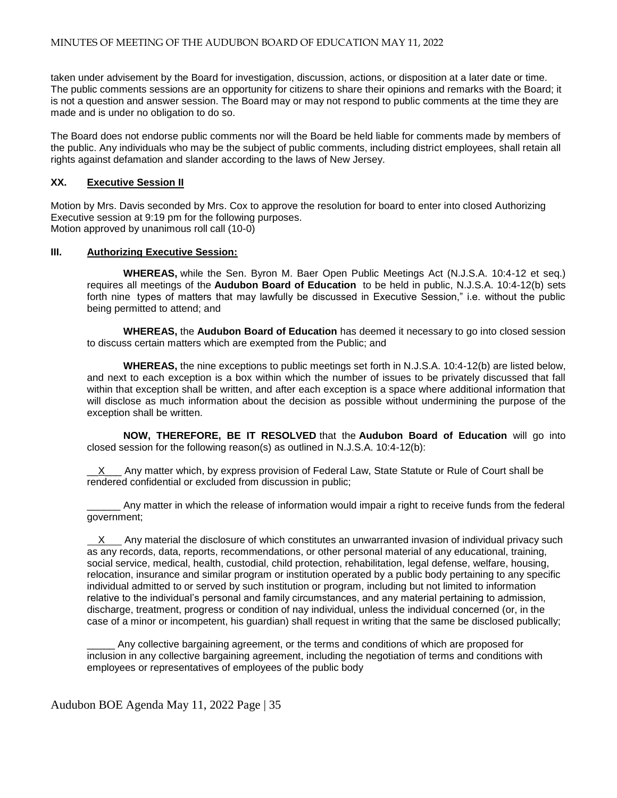taken under advisement by the Board for investigation, discussion, actions, or disposition at a later date or time. The public comments sessions are an opportunity for citizens to share their opinions and remarks with the Board; it is not a question and answer session. The Board may or may not respond to public comments at the time they are made and is under no obligation to do so.

The Board does not endorse public comments nor will the Board be held liable for comments made by members of the public. Any individuals who may be the subject of public comments, including district employees, shall retain all rights against defamation and slander according to the laws of New Jersey.

# **XX. Executive Session II**

Motion by Mrs. Davis seconded by Mrs. Cox to approve the resolution for board to enter into closed Authorizing Executive session at 9:19 pm for the following purposes. Motion approved by unanimous roll call (10-0)

# **III. Authorizing Executive Session:**

**WHEREAS,** while the Sen. Byron M. Baer Open Public Meetings Act (N.J.S.A. 10:4-12 et seq.) requires all meetings of the **Audubon Board of Education** to be held in public, N.J.S.A. 10:4-12(b) sets forth nine types of matters that may lawfully be discussed in Executive Session," i.e. without the public being permitted to attend; and

**WHEREAS,** the **Audubon Board of Education** has deemed it necessary to go into closed session to discuss certain matters which are exempted from the Public; and

**WHEREAS,** the nine exceptions to public meetings set forth in N.J.S.A. 10:4-12(b) are listed below, and next to each exception is a box within which the number of issues to be privately discussed that fall within that exception shall be written, and after each exception is a space where additional information that will disclose as much information about the decision as possible without undermining the purpose of the exception shall be written.

**NOW, THEREFORE, BE IT RESOLVED** that the **Audubon Board of Education** will go into closed session for the following reason(s) as outlined in N.J.S.A. 10:4-12(b):

 $X$  Any matter which, by express provision of Federal Law, State Statute or Rule of Court shall be rendered confidential or excluded from discussion in public;

Any matter in which the release of information would impair a right to receive funds from the federal government;

 X Any material the disclosure of which constitutes an unwarranted invasion of individual privacy such as any records, data, reports, recommendations, or other personal material of any educational, training, social service, medical, health, custodial, child protection, rehabilitation, legal defense, welfare, housing, relocation, insurance and similar program or institution operated by a public body pertaining to any specific individual admitted to or served by such institution or program, including but not limited to information relative to the individual's personal and family circumstances, and any material pertaining to admission, discharge, treatment, progress or condition of nay individual, unless the individual concerned (or, in the case of a minor or incompetent, his guardian) shall request in writing that the same be disclosed publically;

Any collective bargaining agreement, or the terms and conditions of which are proposed for inclusion in any collective bargaining agreement, including the negotiation of terms and conditions with employees or representatives of employees of the public body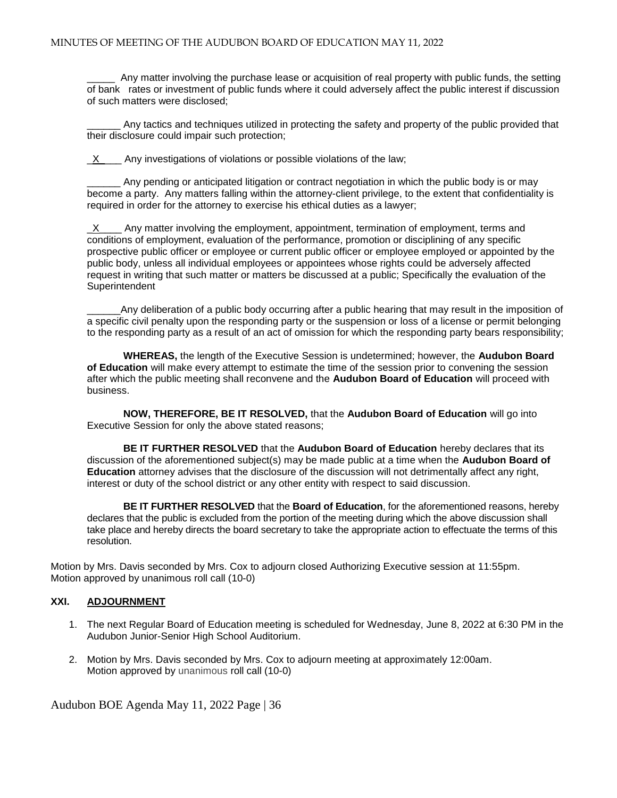Any matter involving the purchase lease or acquisition of real property with public funds, the setting of bank rates or investment of public funds where it could adversely affect the public interest if discussion of such matters were disclosed;

Any tactics and techniques utilized in protecting the safety and property of the public provided that their disclosure could impair such protection;

X Any investigations of violations or possible violations of the law;

Any pending or anticipated litigation or contract negotiation in which the public body is or may become a party. Any matters falling within the attorney-client privilege, to the extent that confidentiality is required in order for the attorney to exercise his ethical duties as a lawyer;

 $\underline{X}$  Any matter involving the employment, appointment, termination of employment, terms and conditions of employment, evaluation of the performance, promotion or disciplining of any specific prospective public officer or employee or current public officer or employee employed or appointed by the public body, unless all individual employees or appointees whose rights could be adversely affected request in writing that such matter or matters be discussed at a public; Specifically the evaluation of the Superintendent

Any deliberation of a public body occurring after a public hearing that may result in the imposition of a specific civil penalty upon the responding party or the suspension or loss of a license or permit belonging to the responding party as a result of an act of omission for which the responding party bears responsibility;

**WHEREAS,** the length of the Executive Session is undetermined; however, the **Audubon Board of Education** will make every attempt to estimate the time of the session prior to convening the session after which the public meeting shall reconvene and the **Audubon Board of Education** will proceed with business.

**NOW, THEREFORE, BE IT RESOLVED,** that the **Audubon Board of Education** will go into Executive Session for only the above stated reasons;

**BE IT FURTHER RESOLVED** that the **Audubon Board of Education** hereby declares that its discussion of the aforementioned subject(s) may be made public at a time when the **Audubon Board of Education** attorney advises that the disclosure of the discussion will not detrimentally affect any right, interest or duty of the school district or any other entity with respect to said discussion.

**BE IT FURTHER RESOLVED** that the **Board of Education**, for the aforementioned reasons, hereby declares that the public is excluded from the portion of the meeting during which the above discussion shall take place and hereby directs the board secretary to take the appropriate action to effectuate the terms of this resolution.

Motion by Mrs. Davis seconded by Mrs. Cox to adjourn closed Authorizing Executive session at 11:55pm. Motion approved by unanimous roll call (10-0)

# **XXI. ADJOURNMENT**

- 1. The next Regular Board of Education meeting is scheduled for Wednesday, June 8, 2022 at 6:30 PM in the Audubon Junior-Senior High School Auditorium.
- 2. Motion by Mrs. Davis seconded by Mrs. Cox to adjourn meeting at approximately 12:00am. Motion approved by unanimous roll call (10-0)